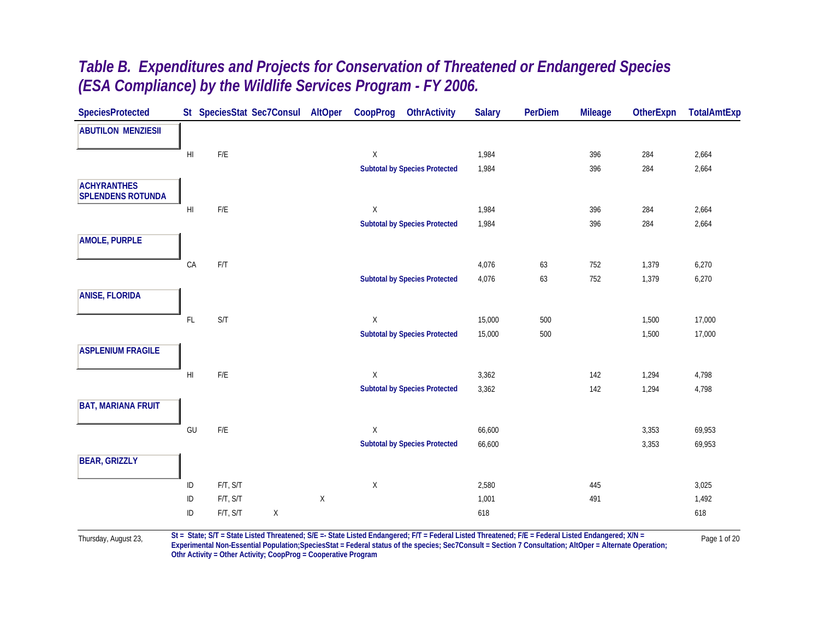| <b>SpeciesProtected</b>                        |                        |                         | St SpeciesStat Sec7Consul AltOper |   | CoopProg    | <b>OthrActivity</b>                  | <b>Salary</b> | <b>PerDiem</b> | <b>Mileage</b> | <b>OtherExpn</b> | <b>TotalAmtExp</b> |
|------------------------------------------------|------------------------|-------------------------|-----------------------------------|---|-------------|--------------------------------------|---------------|----------------|----------------|------------------|--------------------|
| <b>ABUTILON MENZIESII</b>                      |                        |                         |                                   |   |             |                                      |               |                |                |                  |                    |
|                                                | H <sub>l</sub>         | ${\sf F/E}$             |                                   |   | $\mathsf X$ |                                      | 1,984         |                | 396            | 284              | 2,664              |
|                                                |                        |                         |                                   |   |             | <b>Subtotal by Species Protected</b> | 1,984         |                | 396            | 284              | 2,664              |
| <b>ACHYRANTHES</b><br><b>SPLENDENS ROTUNDA</b> |                        |                         |                                   |   |             |                                      |               |                |                |                  |                    |
|                                                | H <sub>l</sub>         | $\mathsf{F}/\mathsf{E}$ |                                   |   | X           |                                      | 1,984         |                | 396            | 284              | 2,664              |
|                                                |                        |                         |                                   |   |             | <b>Subtotal by Species Protected</b> | 1,984         |                | 396            | 284              | 2,664              |
| <b>AMOLE, PURPLE</b>                           |                        |                         |                                   |   |             |                                      |               |                |                |                  |                    |
|                                                | CA                     | $\mathsf{F}/\mathsf{T}$ |                                   |   |             |                                      | 4,076         | 63             | 752            | 1,379            | 6,270              |
|                                                |                        |                         |                                   |   |             | <b>Subtotal by Species Protected</b> | 4,076         | 63             | 752            | 1,379            | 6,270              |
| <b>ANISE, FLORIDA</b>                          |                        |                         |                                   |   |             |                                      |               |                |                |                  |                    |
|                                                | FL                     | S/T                     |                                   |   | X           |                                      | 15,000        | 500            |                | 1,500            | 17,000             |
|                                                |                        |                         |                                   |   |             | <b>Subtotal by Species Protected</b> | 15,000        | 500            |                | 1,500            | 17,000             |
| <b>ASPLENIUM FRAGILE</b>                       |                        |                         |                                   |   |             |                                      |               |                |                |                  |                    |
|                                                | $\mathsf{H}\mathsf{I}$ | $\mathsf{F}/\mathsf{E}$ |                                   |   | $\mathsf X$ |                                      | 3,362         |                | 142            | 1,294            | 4,798              |
|                                                |                        |                         |                                   |   |             | <b>Subtotal by Species Protected</b> | 3,362         |                | 142            | 1,294            | 4,798              |
| <b>BAT, MARIANA FRUIT</b>                      |                        |                         |                                   |   |             |                                      |               |                |                |                  |                    |
|                                                | GU                     | $\mathsf{F}/\mathsf{E}$ |                                   |   | X           |                                      | 66,600        |                |                | 3,353            | 69,953             |
|                                                |                        |                         |                                   |   |             | <b>Subtotal by Species Protected</b> | 66,600        |                |                | 3,353            | 69,953             |
| <b>BEAR, GRIZZLY</b>                           |                        |                         |                                   |   |             |                                      |               |                |                |                  |                    |
|                                                | $\sf ID$               | F/T, S/T                |                                   |   | X           |                                      | 2,580         |                | 445            |                  | 3,025              |
|                                                | $\sf ID$               | F/T, S/T                |                                   | X |             |                                      | 1,001         |                | 491            |                  | 1,492              |
|                                                | ID                     | F/T, S/T                | X                                 |   |             |                                      | 618           |                |                |                  | 618                |
|                                                |                        |                         |                                   |   |             |                                      |               |                |                |                  |                    |

Thursday, August 23, St = State; S/T = State Listed Threatened; S/E =- State Listed Endangered; F/T = Federal Listed Threatened; F/E = Federal Listed Endangered; X/N = Page 1 of 20 **Othr Activity = Other Activity; CoopProg = Cooperative Program**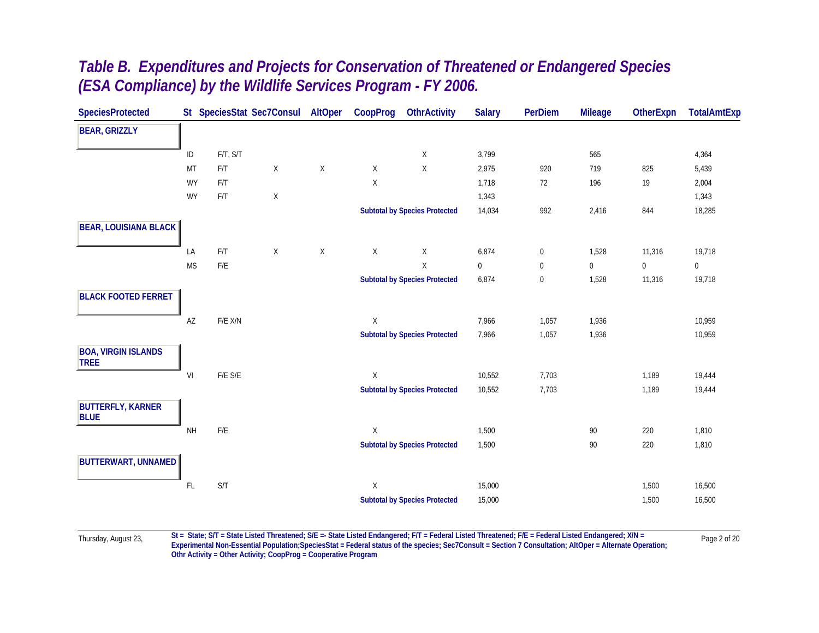| <b>SpeciesProtected</b>                   |           |                         | St SpeciesStat Sec7Consul | AltOper     | CoopProg    | <b>OthrActivity</b>                  | <b>Salary</b> | PerDiem   | <b>Mileage</b> | <b>OtherExpn</b> | <b>TotalAmtExp</b> |
|-------------------------------------------|-----------|-------------------------|---------------------------|-------------|-------------|--------------------------------------|---------------|-----------|----------------|------------------|--------------------|
| <b>BEAR, GRIZZLY</b>                      |           |                         |                           |             |             |                                      |               |           |                |                  |                    |
|                                           | ID        | F/T, S/T                |                           |             |             | X                                    | 3,799         |           | 565            |                  | 4,364              |
|                                           | MT        | F/T                     | Χ                         | X           | Χ           | X                                    | 2,975         | 920       | 719            | 825              | 5,439              |
|                                           | <b>WY</b> | F/T                     |                           |             | Χ           |                                      | 1,718         | 72        | 196            | 19               | 2,004              |
|                                           | <b>WY</b> | $\mathsf{F}/\mathsf{T}$ | Χ                         |             |             |                                      | 1,343         |           |                |                  | 1,343              |
|                                           |           |                         |                           |             |             | <b>Subtotal by Species Protected</b> | 14,034        | 992       | 2,416          | 844              | 18,285             |
| <b>BEAR, LOUISIANA BLACK</b>              |           |                         |                           |             |             |                                      |               |           |                |                  |                    |
|                                           | LA        | F/T                     | $\mathsf X$               | $\mathsf X$ | $\mathsf X$ | X                                    | 6,874         | $\pmb{0}$ | 1,528          | 11,316           | 19,718             |
|                                           | <b>MS</b> | $F/E$                   |                           |             |             | $\mathsf{X}$                         | $\mathbf 0$   | 0         | $\mathbf{0}$   | $\mathbf 0$      | $\mathbf{0}$       |
|                                           |           |                         |                           |             |             | <b>Subtotal by Species Protected</b> | 6,874         | $\pmb{0}$ | 1,528          | 11,316           | 19,718             |
| <b>BLACK FOOTED FERRET</b>                |           |                         |                           |             |             |                                      |               |           |                |                  |                    |
|                                           | AZ        | $F/E$ $X/N$             |                           |             | Χ           |                                      | 7,966         | 1,057     | 1,936          |                  | 10,959             |
|                                           |           |                         |                           |             |             | <b>Subtotal by Species Protected</b> | 7,966         | 1,057     | 1,936          |                  | 10,959             |
| <b>BOA, VIRGIN ISLANDS</b><br><b>TREE</b> |           |                         |                           |             |             |                                      |               |           |                |                  |                    |
|                                           | VI        | $F/E$ $S/E$             |                           |             | Χ           |                                      | 10,552        | 7,703     |                | 1,189            | 19,444             |
|                                           |           |                         |                           |             |             | <b>Subtotal by Species Protected</b> | 10,552        | 7,703     |                | 1,189            | 19,444             |
| <b>BUTTERFLY, KARNER</b><br><b>BLUE</b>   |           |                         |                           |             |             |                                      |               |           |                |                  |                    |
|                                           | <b>NH</b> | $F/E$                   |                           |             | Χ           |                                      | 1,500         |           | 90             | 220              | 1,810              |
|                                           |           |                         |                           |             |             | <b>Subtotal by Species Protected</b> | 1,500         |           | 90             | 220              | 1,810              |
| BUTTERWART, UNNAMED                       |           |                         |                           |             |             |                                      |               |           |                |                  |                    |
|                                           | FL        | $\mathsf{S}/\mathsf{T}$ |                           |             | Χ           |                                      | 15,000        |           |                | 1,500            | 16,500             |
|                                           |           |                         |                           |             |             | <b>Subtotal by Species Protected</b> | 15,000        |           |                | 1,500            | 16,500             |
|                                           |           |                         |                           |             |             |                                      |               |           |                |                  |                    |

Thursday, August 23, St = State; S/T = State Listed Threatened; S/E =- State Listed Endangered; F/T = Federal Listed Threatened; F/E = Federal Listed Endangered; X/N = Page 2 of 20 **Othr Activity = Other Activity; CoopProg = Cooperative Program**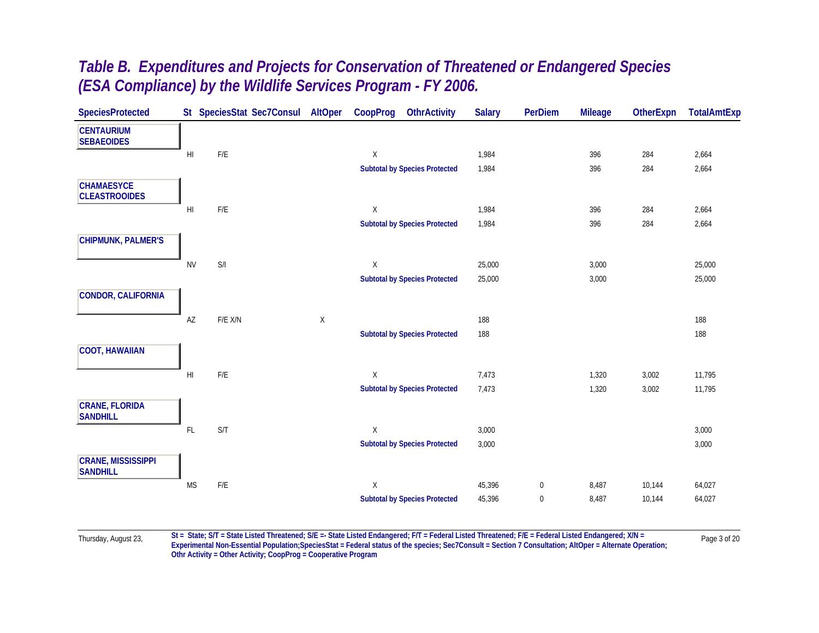| <b>SpeciesProtected</b>                      |                | St SpeciesStat Sec7Consul | AltOper | CoopProg    | <b>OthrActivity</b>                  | <b>Salary</b> | <b>PerDiem</b> | <b>Mileage</b> | OtherExpn | <b>TotalAmtExp</b> |
|----------------------------------------------|----------------|---------------------------|---------|-------------|--------------------------------------|---------------|----------------|----------------|-----------|--------------------|
| <b>CENTAURIUM</b><br><b>SEBAEOIDES</b>       |                |                           |         |             |                                      |               |                |                |           |                    |
|                                              | H <sub>l</sub> | $\mathsf{F}/\mathsf{E}$   |         | X           |                                      | 1,984         |                | 396            | 284       | 2,664              |
|                                              |                |                           |         |             | <b>Subtotal by Species Protected</b> | 1,984         |                | 396            | 284       | 2,664              |
| <b>CHAMAESYCE</b><br><b>CLEASTROOIDES</b>    |                |                           |         |             |                                      |               |                |                |           |                    |
|                                              | H <sub>l</sub> | F/E                       |         | X           |                                      | 1,984         |                | 396            | 284       | 2,664              |
|                                              |                |                           |         |             | <b>Subtotal by Species Protected</b> | 1,984         |                | 396            | 284       | 2,664              |
| <b>CHIPMUNK, PALMER'S</b>                    |                |                           |         |             |                                      |               |                |                |           |                    |
|                                              | <b>NV</b>      | S/I                       |         | X           |                                      | 25,000        |                | 3,000          |           | 25,000             |
|                                              |                |                           |         |             | <b>Subtotal by Species Protected</b> | 25,000        |                | 3,000          |           | 25,000             |
| <b>CONDOR, CALIFORNIA</b>                    |                |                           |         |             |                                      |               |                |                |           |                    |
|                                              | AZ             | F/E X/N                   | X       |             |                                      | 188           |                |                |           | 188                |
|                                              |                |                           |         |             | <b>Subtotal by Species Protected</b> | 188           |                |                |           | 188                |
| <b>COOT, HAWAIIAN</b>                        |                |                           |         |             |                                      |               |                |                |           |                    |
|                                              | H <sub>l</sub> | $F/E$                     |         | X           |                                      | 7,473         |                | 1,320          | 3,002     | 11,795             |
|                                              |                |                           |         |             | <b>Subtotal by Species Protected</b> | 7,473         |                | 1,320          | 3,002     | 11,795             |
| <b>CRANE, FLORIDA</b><br><b>SANDHILL</b>     |                |                           |         |             |                                      |               |                |                |           |                    |
|                                              | FL             | S/T                       |         | X           |                                      | 3,000         |                |                |           | 3,000              |
|                                              |                |                           |         |             | <b>Subtotal by Species Protected</b> | 3,000         |                |                |           | 3,000              |
| <b>CRANE, MISSISSIPPI</b><br><b>SANDHILL</b> |                |                           |         |             |                                      |               |                |                |           |                    |
|                                              | <b>MS</b>      | $\mathsf{F}/\mathsf{E}$   |         | $\mathsf X$ |                                      | 45,396        | $\pmb{0}$      | 8,487          | 10,144    | 64,027             |
|                                              |                |                           |         |             | <b>Subtotal by Species Protected</b> | 45,396        | $\bf{0}$       | 8,487          | 10,144    | 64,027             |
|                                              |                |                           |         |             |                                      |               |                |                |           |                    |

Thursday, August 23, St = State; S/T = State Listed Threatened; S/E =- State Listed Endangered; F/T = Federal Listed Threatened; F/E = Federal Listed Endangered; X/N = Page 3 of 20 **Othr Activity = Other Activity; CoopProg = Cooperative Program**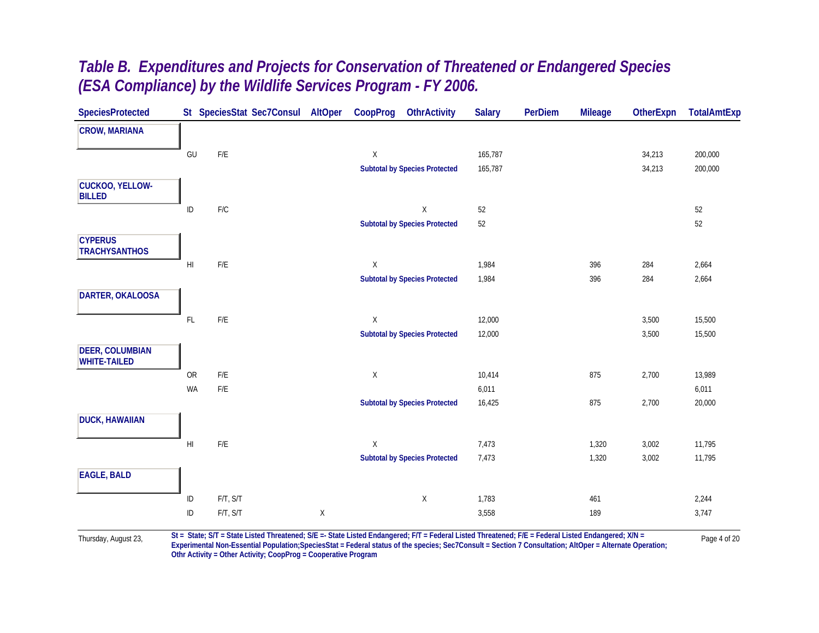| <b>SpeciesProtected</b>                       |                        | St SpeciesStat Sec7Consul | AltOper      | CoopProg     | <b>OthrActivity</b>                  | <b>Salary</b> | <b>PerDiem</b> | <b>Mileage</b> | OtherExpn | <b>TotalAmtExp</b> |
|-----------------------------------------------|------------------------|---------------------------|--------------|--------------|--------------------------------------|---------------|----------------|----------------|-----------|--------------------|
| <b>CROW, MARIANA</b>                          |                        |                           |              |              |                                      |               |                |                |           |                    |
|                                               | GU                     | $\mathsf{F}/\mathsf{E}$   |              | $\mathsf X$  |                                      | 165,787       |                |                | 34,213    | 200,000            |
|                                               |                        |                           |              |              | <b>Subtotal by Species Protected</b> | 165,787       |                |                | 34,213    | 200,000            |
| <b>CUCKOO, YELLOW-</b><br><b>BILLED</b>       |                        |                           |              |              |                                      |               |                |                |           |                    |
|                                               | $\sf ID$               | F/C                       |              |              | $\mathsf X$                          | 52            |                |                |           | 52                 |
|                                               |                        |                           |              |              | <b>Subtotal by Species Protected</b> | $52\,$        |                |                |           | 52                 |
| <b>CYPERUS</b><br><b>TRACHYSANTHOS</b>        |                        |                           |              |              |                                      |               |                |                |           |                    |
|                                               | $\mathsf{H}\mathsf{I}$ | F/E                       |              | $\mathsf{X}$ |                                      | 1,984         |                | 396            | 284       | 2,664              |
|                                               |                        |                           |              |              | <b>Subtotal by Species Protected</b> | 1,984         |                | 396            | 284       | 2,664              |
| DARTER, OKALOOSA                              |                        |                           |              |              |                                      |               |                |                |           |                    |
|                                               | $\mathsf{FL}$          | $\mathsf{F}/\mathsf{E}$   |              | $\mathsf X$  |                                      | 12,000        |                |                | 3,500     | 15,500             |
|                                               |                        |                           |              |              | <b>Subtotal by Species Protected</b> | 12,000        |                |                | 3,500     | 15,500             |
| <b>DEER, COLUMBIAN</b><br><b>WHITE-TAILED</b> |                        |                           |              |              |                                      |               |                |                |           |                    |
|                                               | OR                     | F/E                       |              | $\mathsf X$  |                                      | 10,414        |                | 875            | 2,700     | 13,989             |
|                                               | WA                     | F/E                       |              |              |                                      | 6,011         |                |                |           | 6,011              |
|                                               |                        |                           |              |              | <b>Subtotal by Species Protected</b> | 16,425        |                | 875            | 2,700     | 20,000             |
| <b>DUCK, HAWAIIAN</b>                         |                        |                           |              |              |                                      |               |                |                |           |                    |
|                                               | $\mathsf{H}\mathsf{I}$ | $\mathsf{F}/\mathsf{E}$   |              | X            |                                      | 7,473         |                | 1,320          | 3,002     | 11,795             |
|                                               |                        |                           |              |              | <b>Subtotal by Species Protected</b> | 7,473         |                | 1,320          | 3,002     | 11,795             |
| <b>EAGLE, BALD</b>                            |                        |                           |              |              |                                      |               |                |                |           |                    |
|                                               | $\sf ID$               | F/T, S/T                  |              |              | $\mathsf X$                          | 1,783         |                | 461            |           | 2,244              |
|                                               | $\sf ID$               | F/T, S/T                  | $\mathsf{X}$ |              |                                      | 3,558         |                | 189            |           | 3,747              |
|                                               |                        |                           |              |              |                                      |               |                |                |           |                    |

Thursday, August 23, St = State; S/T = State Listed Threatened; S/E =- State Listed Endangered; F/T = Federal Listed Threatened; F/E = Federal Listed Endangered; X/N = Page 4 of 20 **Othr Activity = Other Activity; CoopProg = Cooperative Program**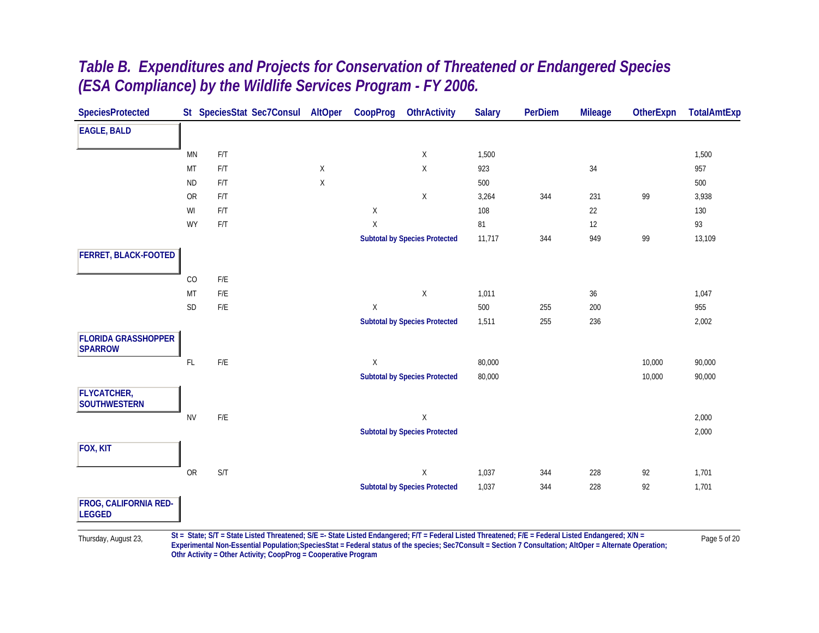| <b>SpeciesProtected</b>                       |               |                         | St SpeciesStat Sec7Consul | AltOper     | CoopProg    | <b>OthrActivity</b>                  | <b>Salary</b> | <b>PerDiem</b> | <b>Mileage</b> | <b>OtherExpn</b> | <b>TotalAmtExp</b> |
|-----------------------------------------------|---------------|-------------------------|---------------------------|-------------|-------------|--------------------------------------|---------------|----------------|----------------|------------------|--------------------|
| <b>EAGLE, BALD</b>                            |               |                         |                           |             |             |                                      |               |                |                |                  |                    |
|                                               | <b>MN</b>     | $\mathsf{F}/\mathsf{T}$ |                           |             |             | $\mathsf X$                          | 1,500         |                |                |                  | 1,500              |
|                                               | MT            | F/T                     |                           | $\mathsf X$ |             | $\mathsf X$                          | 923           |                | 34             |                  | 957                |
|                                               | <b>ND</b>     | F/T                     |                           | $\mathsf X$ |             |                                      | 500           |                |                |                  | 500                |
|                                               | OR            | F/T                     |                           |             |             | $\mathsf X$                          | 3,264         | 344            | 231            | 99               | 3,938              |
|                                               | WI            | F/T                     |                           |             | Χ           |                                      | 108           |                | 22             |                  | 130                |
|                                               | WY            | F/T                     |                           |             | Χ           |                                      | 81            |                | 12             |                  | 93                 |
|                                               |               |                         |                           |             |             | <b>Subtotal by Species Protected</b> | 11,717        | 344            | 949            | 99               | 13,109             |
| FERRET, BLACK-FOOTED                          |               |                         |                           |             |             |                                      |               |                |                |                  |                    |
|                                               | CO            | $\mathsf{F}/\mathsf{E}$ |                           |             |             |                                      |               |                |                |                  |                    |
|                                               | MT            | $\mathsf{F}/\mathsf{E}$ |                           |             |             | $\mathsf X$                          | 1,011         |                | $36\,$         |                  | 1,047              |
|                                               | $\mathsf{SD}$ | $\mathsf{F}/\mathsf{E}$ |                           |             | $\mathsf X$ |                                      | 500           | 255            | 200            |                  | 955                |
|                                               |               |                         |                           |             |             | <b>Subtotal by Species Protected</b> | 1,511         | 255            | 236            |                  | 2,002              |
| <b>FLORIDA GRASSHOPPER</b><br><b>SPARROW</b>  |               |                         |                           |             |             |                                      |               |                |                |                  |                    |
|                                               | $\mathsf{FL}$ | $\mathsf{F}/\mathsf{E}$ |                           |             | Χ           |                                      | 80,000        |                |                | 10,000           | 90,000             |
|                                               |               |                         |                           |             |             | <b>Subtotal by Species Protected</b> | 80,000        |                |                | 10,000           | 90,000             |
| <b>FLYCATCHER,</b><br><b>SOUTHWESTERN</b>     |               |                         |                           |             |             |                                      |               |                |                |                  |                    |
|                                               | <b>NV</b>     | $\mathsf{F}/\mathsf{E}$ |                           |             |             | $\mathsf X$                          |               |                |                |                  | 2,000              |
|                                               |               |                         |                           |             |             | <b>Subtotal by Species Protected</b> |               |                |                |                  | 2,000              |
| FOX, KIT                                      |               |                         |                           |             |             |                                      |               |                |                |                  |                    |
|                                               | OR            | S/T                     |                           |             |             | $\mathsf X$                          | 1,037         | 344            | 228            | 92               | 1,701              |
|                                               |               |                         |                           |             |             | <b>Subtotal by Species Protected</b> | 1,037         | 344            | 228            | 92               | 1,701              |
| <b>FROG, CALIFORNIA RED-</b><br><b>LEGGED</b> |               |                         |                           |             |             |                                      |               |                |                |                  |                    |

Thursday, August 23, St = State; S/T = State Listed Threatened; S/E =- State Listed Endangered; F/T = Federal Listed Threatened; F/E = Federal Listed Endangered; X/N = Page 5 of 20 **Othr Activity = Other Activity; CoopProg = Cooperative Program**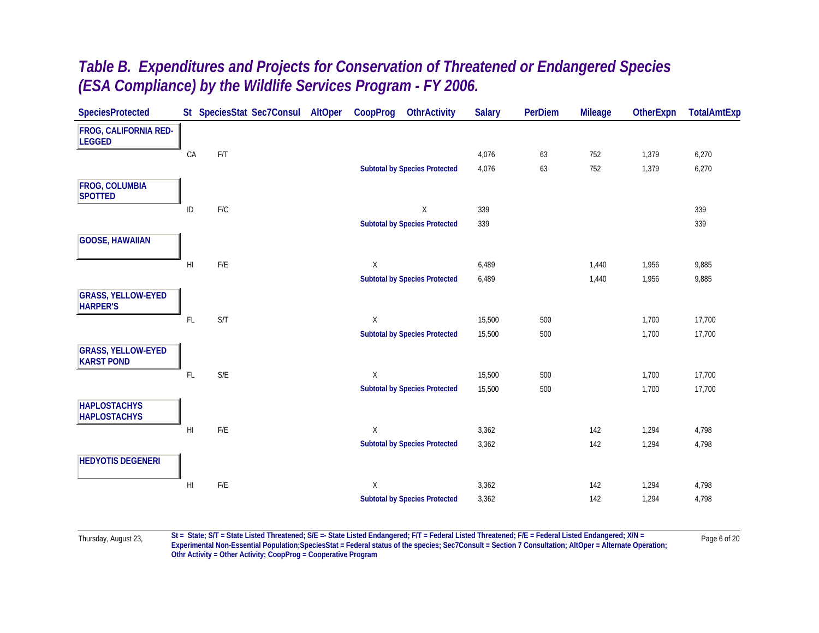| <b>SpeciesProtected</b>                        |                        | St SpeciesStat Sec7Consul | AltOper | CoopProg     | <b>OthrActivity</b>                  | <b>Salary</b> | <b>PerDiem</b> | <b>Mileage</b> | <b>OtherExpn</b> | <b>TotalAmtExp</b> |
|------------------------------------------------|------------------------|---------------------------|---------|--------------|--------------------------------------|---------------|----------------|----------------|------------------|--------------------|
| <b>FROG, CALIFORNIA RED-</b><br><b>LEGGED</b>  |                        |                           |         |              |                                      |               |                |                |                  |                    |
|                                                | CA                     | F/T                       |         |              |                                      | 4,076         | 63             | 752            | 1,379            | 6,270              |
|                                                |                        |                           |         |              | <b>Subtotal by Species Protected</b> | 4,076         | 63             | 752            | 1,379            | 6,270              |
| <b>FROG, COLUMBIA</b><br><b>SPOTTED</b>        |                        |                           |         |              |                                      |               |                |                |                  |                    |
|                                                | ID                     | $\mathsf{F}/\mathsf{C}$   |         |              | $\mathsf X$                          | 339           |                |                |                  | 339                |
|                                                |                        |                           |         |              | <b>Subtotal by Species Protected</b> | 339           |                |                |                  | 339                |
| <b>GOOSE, HAWAIIAN</b>                         |                        |                           |         |              |                                      |               |                |                |                  |                    |
|                                                | $\mathsf{H}\mathsf{I}$ | F/E                       |         | $\chi$       |                                      | 6,489         |                | 1,440          | 1,956            | 9,885              |
|                                                |                        |                           |         |              | <b>Subtotal by Species Protected</b> | 6,489         |                | 1,440          | 1,956            | 9,885              |
| <b>GRASS, YELLOW-EYED</b><br><b>HARPER'S</b>   |                        |                           |         |              |                                      |               |                |                |                  |                    |
|                                                | $\mathsf{FL}$          | S/T                       |         | X            |                                      | 15,500        | 500            |                | 1,700            | 17,700             |
|                                                |                        |                           |         |              | <b>Subtotal by Species Protected</b> | 15,500        | 500            |                | 1,700            | 17,700             |
| <b>GRASS, YELLOW-EYED</b><br><b>KARST POND</b> |                        |                           |         |              |                                      |               |                |                |                  |                    |
|                                                | $\mathsf{FL}$          | $\mathsf{S}/\mathsf{E}$   |         | X            |                                      | 15,500        | 500            |                | 1,700            | 17,700             |
|                                                |                        |                           |         |              | <b>Subtotal by Species Protected</b> | 15,500        | 500            |                | 1,700            | 17,700             |
| <b>HAPLOSTACHYS</b><br><b>HAPLOSTACHYS</b>     |                        |                           |         |              |                                      |               |                |                |                  |                    |
|                                                | $\mathsf{H}\mathsf{I}$ | F/E                       |         | $\mathsf{X}$ |                                      | 3,362         |                | 142            | 1,294            | 4,798              |
|                                                |                        |                           |         |              | <b>Subtotal by Species Protected</b> | 3,362         |                | 142            | 1,294            | 4,798              |
| <b>HEDYOTIS DEGENERI</b>                       |                        |                           |         |              |                                      |               |                |                |                  |                    |
|                                                | H                      | $\mathsf{F}/\mathsf{E}$   |         | $\mathsf{X}$ |                                      | 3,362         |                | 142            | 1,294            | 4,798              |
|                                                |                        |                           |         |              | <b>Subtotal by Species Protected</b> | 3,362         |                | 142            | 1,294            | 4,798              |
|                                                |                        |                           |         |              |                                      |               |                |                |                  |                    |

Thursday, August 23, St = State; S/T = State Listed Threatened; S/E =- State Listed Endangered; F/T = Federal Listed Threatened; F/E = Federal Listed Endangered; X/N = Page 6 of 20 **Othr Activity = Other Activity; CoopProg = Cooperative Program**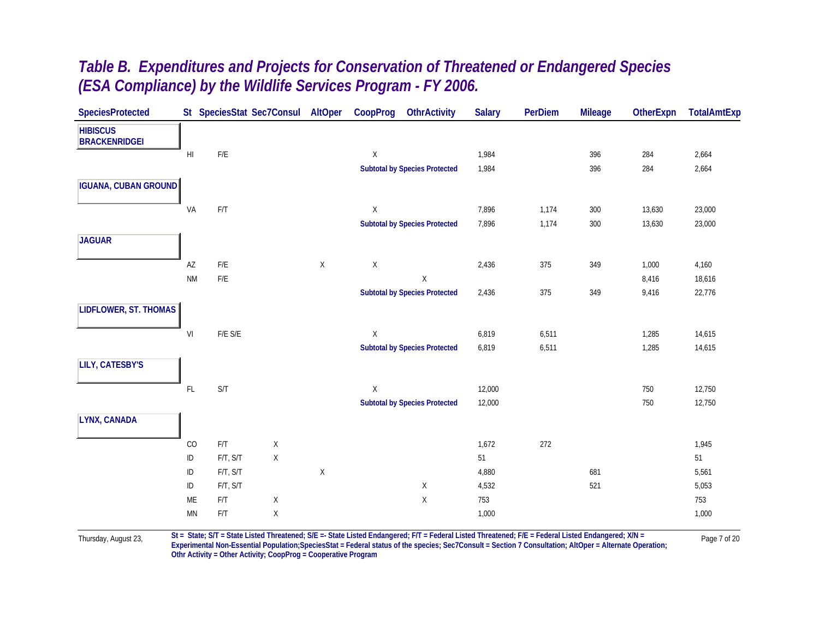| <b>SpeciesProtected</b>                 |                |                         | St SpeciesStat Sec7Consul AltOper |             | CoopProg    | <b>OthrActivity</b>                  | <b>Salary</b> | PerDiem | <b>Mileage</b> | OtherExpn | <b>TotalAmtExp</b> |
|-----------------------------------------|----------------|-------------------------|-----------------------------------|-------------|-------------|--------------------------------------|---------------|---------|----------------|-----------|--------------------|
| <b>HIBISCUS</b><br><b>BRACKENRIDGEI</b> |                |                         |                                   |             |             |                                      |               |         |                |           |                    |
|                                         | H <sub>l</sub> | $\mathsf{F}/\mathsf{E}$ |                                   |             | $\mathsf X$ |                                      | 1,984         |         | 396            | 284       | 2,664              |
|                                         |                |                         |                                   |             |             | <b>Subtotal by Species Protected</b> | 1,984         |         | 396            | 284       | 2,664              |
| <b>IGUANA, CUBAN GROUND</b>             |                |                         |                                   |             |             |                                      |               |         |                |           |                    |
|                                         | VA             | $\mathsf{F}/\mathsf{T}$ |                                   |             | X           |                                      | 7,896         | 1,174   | 300            | 13,630    | 23,000             |
|                                         |                |                         |                                   |             |             | <b>Subtotal by Species Protected</b> | 7,896         | 1,174   | 300            | 13,630    | 23,000             |
| <b>JAGUAR</b>                           |                |                         |                                   |             |             |                                      |               |         |                |           |                    |
|                                         | AZ             | $\mathsf{F}/\mathsf{E}$ |                                   | $\mathsf X$ | $\mathsf X$ |                                      | 2,436         | 375     | 349            | 1,000     | 4,160              |
|                                         | <b>NM</b>      | $\mathsf{F}/\mathsf{E}$ |                                   |             |             | $\mathsf X$                          |               |         |                | 8,416     | 18,616             |
|                                         |                |                         |                                   |             |             | <b>Subtotal by Species Protected</b> | 2,436         | 375     | 349            | 9,416     | 22,776             |
| LIDFLOWER, ST. THOMAS                   |                |                         |                                   |             |             |                                      |               |         |                |           |                    |
|                                         | VI             | $F/E$ $S/E$             |                                   |             | $\mathsf X$ |                                      | 6,819         | 6,511   |                | 1,285     | 14,615             |
|                                         |                |                         |                                   |             |             | <b>Subtotal by Species Protected</b> | 6,819         | 6,511   |                | 1,285     | 14,615             |
| <b>LILY, CATESBY'S</b>                  |                |                         |                                   |             |             |                                      |               |         |                |           |                    |
|                                         | FL             | S/T                     |                                   |             | $\mathsf X$ |                                      | 12,000        |         |                | 750       | 12,750             |
|                                         |                |                         |                                   |             |             | <b>Subtotal by Species Protected</b> | 12,000        |         |                | 750       | 12,750             |
| LYNX, CANADA                            |                |                         |                                   |             |             |                                      |               |         |                |           |                    |
|                                         | CO             | F/T                     | $\mathsf X$                       |             |             |                                      | 1,672         | 272     |                |           | 1,945              |
|                                         | $\sf ID$       | F/T, S/T                | $\mathsf X$                       |             |             |                                      | 51            |         |                |           | 51                 |
|                                         | $\sf ID$       | F/T, S/T                |                                   | X           |             |                                      | 4,880         |         | 681            |           | 5,561              |
|                                         | $\sf ID$       | F/T, S/T                |                                   |             |             | X                                    | 4,532         |         | 521            |           | 5,053              |
|                                         | ME             | F/T                     | $\mathsf X$                       |             |             | $\mathsf X$                          | 753           |         |                |           | 753                |
|                                         | <b>MN</b>      | $\mathsf{F}/\mathsf{T}$ | X                                 |             |             |                                      | 1,000         |         |                |           | 1,000              |

Thursday, August 23, St = State; S/T = State Listed Threatened; S/E =- State Listed Endangered; F/T = Federal Listed Threatened; F/E = Federal Listed Endangered; X/N = Page 7 of 20 **Othr Activity = Other Activity; CoopProg = Cooperative Program**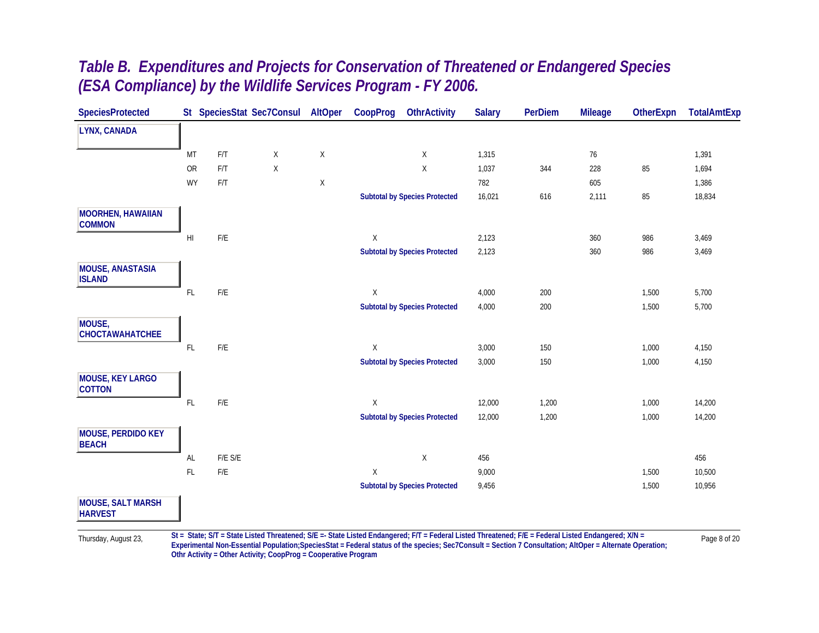| <b>SpeciesProtected</b>                    |                |                         | St SpeciesStat Sec7Consul | AltOper     | CoopProg    | <b>OthrActivity</b>                  | <b>Salary</b> | <b>PerDiem</b> | <b>Mileage</b> | <b>OtherExpn</b> | <b>TotalAmtExp</b> |
|--------------------------------------------|----------------|-------------------------|---------------------------|-------------|-------------|--------------------------------------|---------------|----------------|----------------|------------------|--------------------|
| LYNX, CANADA                               |                |                         |                           |             |             |                                      |               |                |                |                  |                    |
|                                            | MT             | F/T                     | $\mathsf{X}$              | $\mathsf X$ |             | $\mathsf{X}$                         | 1,315         |                | $76\,$         |                  | 1,391              |
|                                            | <b>OR</b>      | F/T                     | X                         |             |             | $\mathsf{X}$                         | 1,037         | 344            | 228            | 85               | 1,694              |
|                                            | <b>WY</b>      | F/T                     |                           | Χ           |             |                                      | 782           |                | 605            |                  | 1,386              |
|                                            |                |                         |                           |             |             | <b>Subtotal by Species Protected</b> | 16,021        | 616            | 2,111          | 85               | 18,834             |
| <b>MOORHEN, HAWAIIAN</b><br><b>COMMON</b>  |                |                         |                           |             |             |                                      |               |                |                |                  |                    |
|                                            | H <sub>l</sub> | $\mathsf{F}/\mathsf{E}$ |                           |             | X           |                                      | 2,123         |                | 360            | 986              | 3,469              |
|                                            |                |                         |                           |             |             | <b>Subtotal by Species Protected</b> | 2,123         |                | 360            | 986              | 3,469              |
| <b>MOUSE, ANASTASIA</b><br><b>ISLAND</b>   |                |                         |                           |             |             |                                      |               |                |                |                  |                    |
|                                            | FL             | $\mathsf{F}/\mathsf{E}$ |                           |             | X           |                                      | 4,000         | 200            |                | 1,500            | 5,700              |
|                                            |                |                         |                           |             |             | <b>Subtotal by Species Protected</b> | 4,000         | 200            |                | 1,500            | 5,700              |
| MOUSE,<br>CHOCTAWAHATCHEE                  |                |                         |                           |             |             |                                      |               |                |                |                  |                    |
|                                            | FL             | $\mathsf{F}/\mathsf{E}$ |                           |             | X           |                                      | 3,000         | 150            |                | 1,000            | 4,150              |
|                                            |                |                         |                           |             |             | <b>Subtotal by Species Protected</b> | 3,000         | 150            |                | 1,000            | 4,150              |
| <b>MOUSE, KEY LARGO</b><br><b>COTTON</b>   |                |                         |                           |             |             |                                      |               |                |                |                  |                    |
|                                            | $\mathsf{FL}$  | $\mathsf{F}/\mathsf{E}$ |                           |             | X           |                                      | 12,000        | 1,200          |                | 1,000            | 14,200             |
|                                            |                |                         |                           |             |             | <b>Subtotal by Species Protected</b> | 12,000        | 1,200          |                | 1,000            | 14,200             |
| <b>MOUSE, PERDIDO KEY</b><br><b>BEACH</b>  |                |                         |                           |             |             |                                      |               |                |                |                  |                    |
|                                            | AL             | $F/E$ $S/E$             |                           |             |             | $\mathsf X$                          | 456           |                |                |                  | 456                |
|                                            | $\mathsf{FL}$  | $\mathsf{F}/\mathsf{E}$ |                           |             | $\mathsf X$ |                                      | 9,000         |                |                | 1,500            | 10,500             |
|                                            |                |                         |                           |             |             | <b>Subtotal by Species Protected</b> | 9,456         |                |                | 1,500            | 10,956             |
| <b>MOUSE, SALT MARSH</b><br><b>HARVEST</b> |                |                         |                           |             |             |                                      |               |                |                |                  |                    |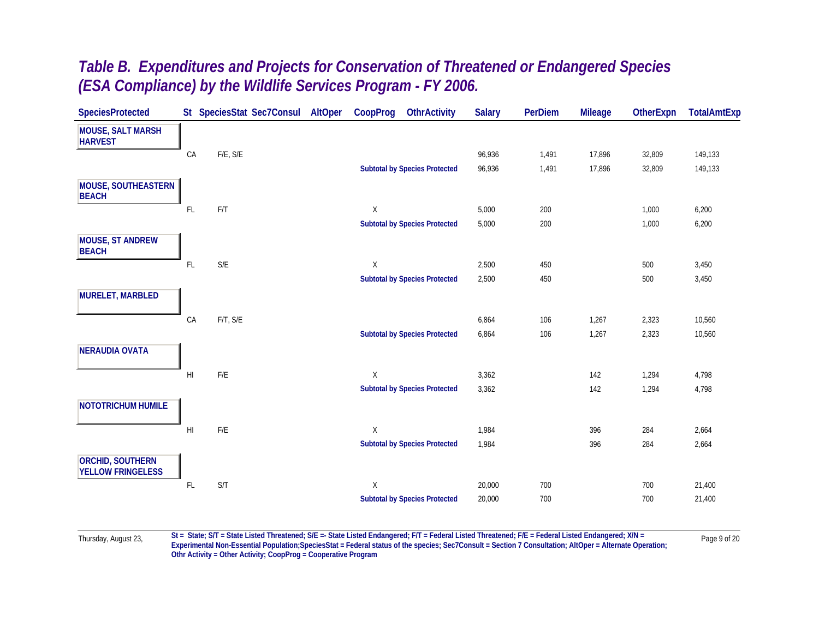| <b>SpeciesProtected</b>                             |                        | St SpeciesStat Sec7Consul | AltOper | CoopProg | <b>OthrActivity</b>                  | <b>Salary</b> | <b>PerDiem</b> | <b>Mileage</b> | <b>OtherExpn</b> | <b>TotalAmtExp</b> |
|-----------------------------------------------------|------------------------|---------------------------|---------|----------|--------------------------------------|---------------|----------------|----------------|------------------|--------------------|
| <b>MOUSE, SALT MARSH</b><br><b>HARVEST</b>          |                        |                           |         |          |                                      |               |                |                |                  |                    |
|                                                     | CA                     | F/E, S/E                  |         |          |                                      | 96,936        | 1,491          | 17,896         | 32,809           | 149,133            |
|                                                     |                        |                           |         |          | <b>Subtotal by Species Protected</b> | 96,936        | 1,491          | 17,896         | 32,809           | 149,133            |
| <b>MOUSE, SOUTHEASTERN</b><br><b>BEACH</b>          |                        |                           |         |          |                                      |               |                |                |                  |                    |
|                                                     | $\mathsf{FL}$          | F/T                       |         | Χ        |                                      | 5,000         | 200            |                | 1,000            | 6,200              |
|                                                     |                        |                           |         |          | <b>Subtotal by Species Protected</b> | 5,000         | 200            |                | 1,000            | 6,200              |
| <b>MOUSE, ST ANDREW</b><br><b>BEACH</b>             |                        |                           |         |          |                                      |               |                |                |                  |                    |
|                                                     | FL                     | S/E                       |         | Χ        |                                      | 2,500         | 450            |                | 500              | 3,450              |
|                                                     |                        |                           |         |          | <b>Subtotal by Species Protected</b> | 2,500         | 450            |                | 500              | 3,450              |
| <b>MURELET, MARBLED</b>                             |                        |                           |         |          |                                      |               |                |                |                  |                    |
|                                                     | CA                     | F/T, S/E                  |         |          |                                      | 6,864         | 106            | 1,267          | 2,323            | 10,560             |
|                                                     |                        |                           |         |          | <b>Subtotal by Species Protected</b> | 6,864         | 106            | 1,267          | 2,323            | 10,560             |
| <b>NERAUDIA OVATA</b>                               |                        |                           |         |          |                                      |               |                |                |                  |                    |
|                                                     | H <sub>l</sub>         | $F/E$                     |         | X        |                                      | 3,362         |                | 142            | 1,294            | 4,798              |
|                                                     |                        |                           |         |          | <b>Subtotal by Species Protected</b> | 3,362         |                | 142            | 1,294            | 4,798              |
| <b>NOTOTRICHUM HUMILE</b>                           |                        |                           |         |          |                                      |               |                |                |                  |                    |
|                                                     | $\mathsf{H}\mathsf{I}$ | F/E                       |         | X        |                                      | 1,984         |                | 396            | 284              | 2,664              |
|                                                     |                        |                           |         |          | <b>Subtotal by Species Protected</b> | 1,984         |                | 396            | 284              | 2,664              |
| <b>ORCHID, SOUTHERN</b><br><b>YELLOW FRINGELESS</b> |                        |                           |         |          |                                      |               |                |                |                  |                    |
|                                                     | $\mathsf{FL}$          | S/T                       |         | X        |                                      | 20,000        | 700            |                | 700              | 21,400             |
|                                                     |                        |                           |         |          | <b>Subtotal by Species Protected</b> | 20,000        | 700            |                | 700              | 21,400             |
|                                                     |                        |                           |         |          |                                      |               |                |                |                  |                    |

Thursday, August 23, St = State; S/T = State Listed Threatened; S/E =- State Listed Endangered; F/T = Federal Listed Threatened; F/E = Federal Listed Endangered; X/N = Page 9 of 20 **Othr Activity = Other Activity; CoopProg = Cooperative Program**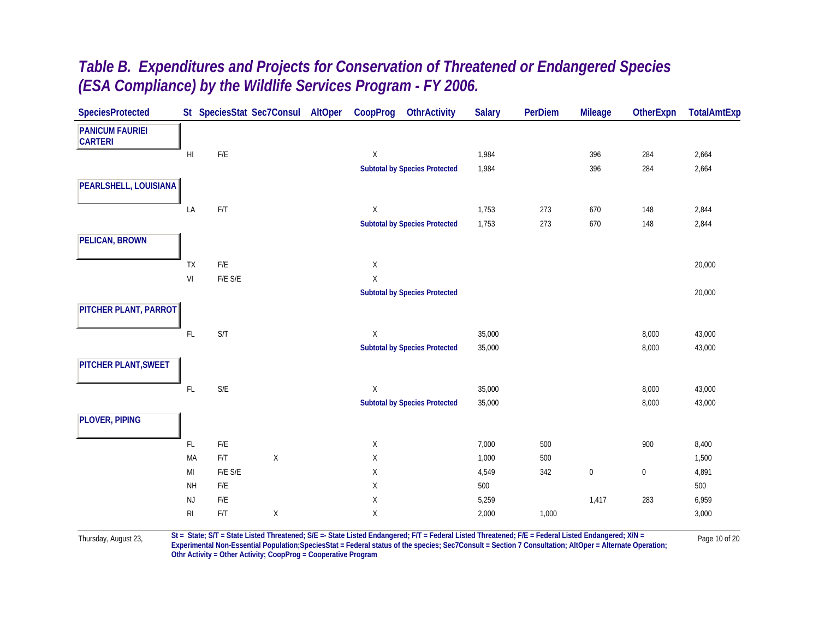| <b>SpeciesProtected</b>                  |                | St SpeciesStat Sec7Consul AltOper |             | CoopProg    | <b>OthrActivity</b>                  | <b>Salary</b> | <b>PerDiem</b> | <b>Mileage</b>   | OtherExpn | <b>TotalAmtExp</b> |
|------------------------------------------|----------------|-----------------------------------|-------------|-------------|--------------------------------------|---------------|----------------|------------------|-----------|--------------------|
| <b>PANICUM FAURIEI</b><br><b>CARTERI</b> |                |                                   |             |             |                                      |               |                |                  |           |                    |
|                                          | H <sub>l</sub> | $\mathsf{F}/\mathsf{E}$           |             | $\mathsf X$ |                                      | 1,984         |                | 396              | 284       | 2,664              |
|                                          |                |                                   |             |             | <b>Subtotal by Species Protected</b> | 1,984         |                | 396              | 284       | 2,664              |
| PEARLSHELL, LOUISIANA                    |                |                                   |             |             |                                      |               |                |                  |           |                    |
|                                          | LA             | F/T                               |             | $\mathsf X$ |                                      | 1,753         | 273            | 670              | 148       | 2,844              |
|                                          |                |                                   |             |             | <b>Subtotal by Species Protected</b> | 1,753         | 273            | 670              | 148       | 2,844              |
| <b>PELICAN, BROWN</b>                    |                |                                   |             |             |                                      |               |                |                  |           |                    |
|                                          | TX             | $\mathsf{F}/\mathsf{E}$           |             | $\mathsf X$ |                                      |               |                |                  |           | 20,000             |
|                                          | VI             | $F/E$ $S/E$                       |             | $\mathsf X$ |                                      |               |                |                  |           |                    |
|                                          |                |                                   |             |             | <b>Subtotal by Species Protected</b> |               |                |                  |           | 20,000             |
| PITCHER PLANT, PARROT                    |                |                                   |             |             |                                      |               |                |                  |           |                    |
|                                          | $\mathsf{FL}$  | S/T                               |             | X           |                                      | 35,000        |                |                  | 8,000     | 43,000             |
|                                          |                |                                   |             |             | <b>Subtotal by Species Protected</b> | 35,000        |                |                  | 8,000     | 43,000             |
| PITCHER PLANT, SWEET                     |                |                                   |             |             |                                      |               |                |                  |           |                    |
|                                          | $\mathsf{FL}$  | $S/E$                             |             | X           |                                      | 35,000        |                |                  | 8,000     | 43,000             |
|                                          |                |                                   |             |             | <b>Subtotal by Species Protected</b> | 35,000        |                |                  | 8,000     | 43,000             |
| <b>PLOVER, PIPING</b>                    |                |                                   |             |             |                                      |               |                |                  |           |                    |
|                                          | FL.            | $F/E$                             |             | X           |                                      | 7,000         | 500            |                  | 900       | 8,400              |
|                                          | MA             | F/T                               | $\mathsf X$ | X           |                                      | 1,000         | 500            |                  |           | 1,500              |
|                                          | MI             | F/E S/E                           |             | X           |                                      | 4,549         | 342            | $\boldsymbol{0}$ | $\bf 0$   | 4,891              |
|                                          | <b>NH</b>      | ${\sf F/E}$                       |             | Χ           |                                      | 500           |                |                  |           | 500                |
|                                          | NJ             | $F/E$                             |             | Χ           |                                      | 5,259         |                | 1,417            | 283       | 6,959              |
|                                          | $\mathsf{RI}$  | F/T                               | $\mathsf X$ | Χ           |                                      | 2,000         | 1,000          |                  |           | 3,000              |
|                                          |                |                                   |             |             |                                      |               |                |                  |           |                    |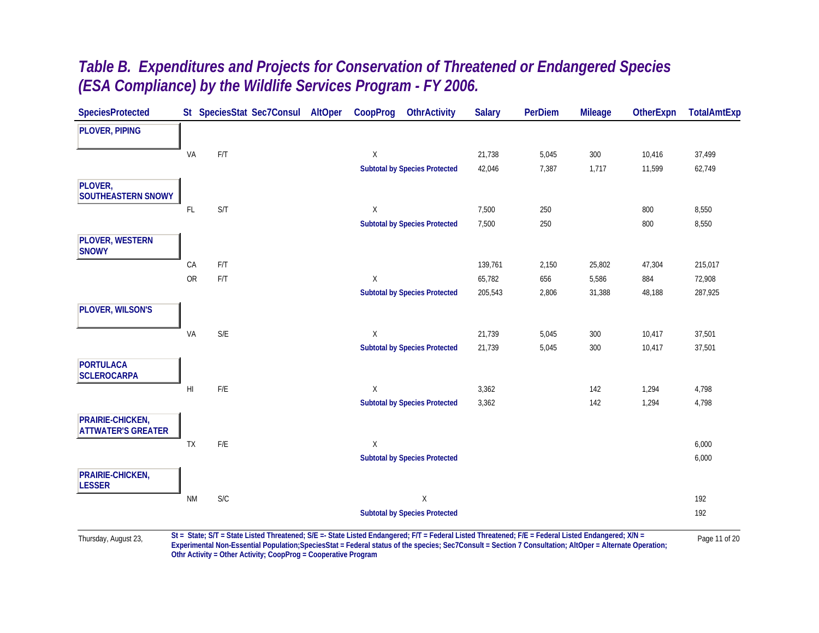| <b>SpeciesProtected</b>                       |                | St SpeciesStat Sec7Consul | AltOper | CoopProg     | <b>OthrActivity</b>                  | <b>Salary</b> | <b>PerDiem</b> | <b>Mileage</b> | <b>OtherExpn</b> | <b>TotalAmtExp</b> |
|-----------------------------------------------|----------------|---------------------------|---------|--------------|--------------------------------------|---------------|----------------|----------------|------------------|--------------------|
| <b>PLOVER, PIPING</b>                         |                |                           |         |              |                                      |               |                |                |                  |                    |
|                                               | VA             | F/T                       |         | X            |                                      | 21,738        | 5,045          | 300            | 10,416           | 37,499             |
|                                               |                |                           |         |              | <b>Subtotal by Species Protected</b> | 42,046        | 7,387          | 1,717          | 11,599           | 62,749             |
| PLOVER,                                       |                |                           |         |              |                                      |               |                |                |                  |                    |
| <b>SOUTHEASTERN SNOWY</b>                     |                |                           |         |              |                                      |               |                |                |                  |                    |
|                                               | FL             | S/T                       |         | $\mathsf{X}$ |                                      | 7,500         | 250            |                | 800              | 8,550              |
|                                               |                |                           |         |              | <b>Subtotal by Species Protected</b> | 7,500         | 250            |                | 800              | 8,550              |
| <b>PLOVER, WESTERN</b><br><b>SNOWY</b>        |                |                           |         |              |                                      |               |                |                |                  |                    |
|                                               | CA             | F/T                       |         |              |                                      | 139,761       | 2,150          | 25,802         | 47,304           | 215,017            |
|                                               | OR             | $\mathsf{F}/\mathsf{T}$   |         | X            |                                      | 65,782        | 656            | 5,586          | 884              | 72,908             |
|                                               |                |                           |         |              | <b>Subtotal by Species Protected</b> | 205,543       | 2,806          | 31,388         | 48,188           | 287,925            |
| PLOVER, WILSON'S                              |                |                           |         |              |                                      |               |                |                |                  |                    |
|                                               | VA             | $\mathsf{S}/\mathsf{E}$   |         | X            |                                      | 21,739        | 5,045          | 300            | 10,417           | 37,501             |
|                                               |                |                           |         |              | <b>Subtotal by Species Protected</b> | 21,739        | 5,045          | 300            | 10,417           | 37,501             |
| <b>PORTULACA</b><br><b>SCLEROCARPA</b>        |                |                           |         |              |                                      |               |                |                |                  |                    |
|                                               | H <sub>l</sub> | $F/E$                     |         | X            |                                      | 3,362         |                | 142            | 1,294            | 4,798              |
|                                               |                |                           |         |              | <b>Subtotal by Species Protected</b> | 3,362         |                | 142            | 1,294            | 4,798              |
| PRAIRIE-CHICKEN,<br><b>ATTWATER'S GREATER</b> |                |                           |         |              |                                      |               |                |                |                  |                    |
|                                               | TX             | $F/E$                     |         | $\mathsf{X}$ |                                      |               |                |                |                  | 6,000              |
|                                               |                |                           |         |              | <b>Subtotal by Species Protected</b> |               |                |                |                  | 6,000              |
| PRAIRIE-CHICKEN,<br><b>LESSER</b>             |                |                           |         |              |                                      |               |                |                |                  |                    |
|                                               | <b>NM</b>      | $\mathsf{S}/\mathsf{C}$   |         |              | $\mathsf X$                          |               |                |                |                  | 192                |
|                                               |                |                           |         |              | <b>Subtotal by Species Protected</b> |               |                |                |                  | 192                |

Experimental Non-Essential Population; Species Stat = Federal status of the species; Sec7Consult = Section 7 Consultation; AltOper = Alternate Operation; **Othr Activity = Other Activity; CoopProg = Cooperative Program**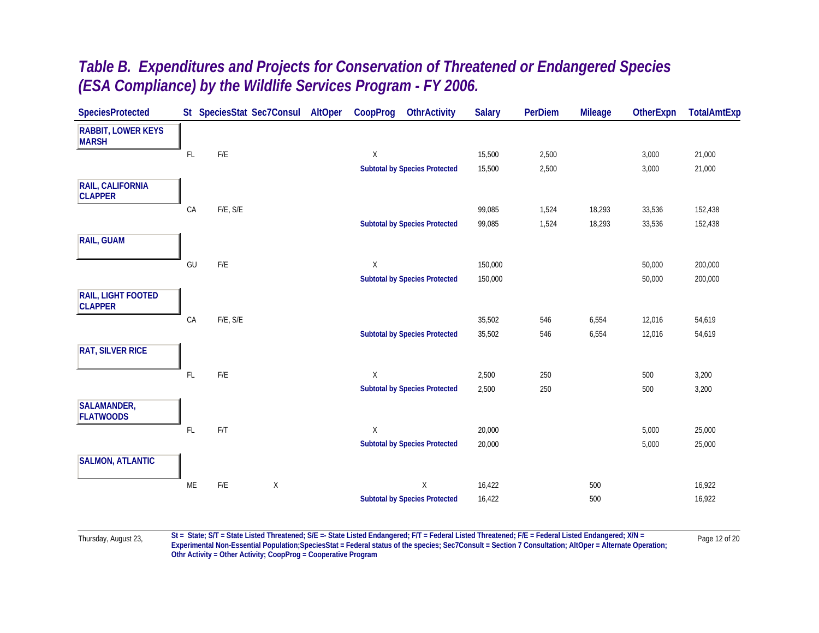| <b>SpeciesProtected</b>                   |               | St SpeciesStat Sec7Consul              | AltOper | CoopProg | <b>OthrActivity</b>                  | <b>Salary</b> | PerDiem | <b>Mileage</b> | <b>OtherExpn</b> | <b>TotalAmtExp</b> |
|-------------------------------------------|---------------|----------------------------------------|---------|----------|--------------------------------------|---------------|---------|----------------|------------------|--------------------|
| <b>RABBIT, LOWER KEYS</b><br><b>MARSH</b> |               |                                        |         |          |                                      |               |         |                |                  |                    |
|                                           | $\mathsf{FL}$ | $\mathsf{F}/\mathsf{E}$                |         | X        |                                      | 15,500        | 2,500   |                | 3,000            | 21,000             |
|                                           |               |                                        |         |          | <b>Subtotal by Species Protected</b> | 15,500        | 2,500   |                | 3,000            | 21,000             |
| RAIL, CALIFORNIA<br><b>CLAPPER</b>        |               |                                        |         |          |                                      |               |         |                |                  |                    |
|                                           | CA            | $F/E, S/E$                             |         |          |                                      | 99,085        | 1,524   | 18,293         | 33,536           | 152,438            |
|                                           |               |                                        |         |          | <b>Subtotal by Species Protected</b> | 99,085        | 1,524   | 18,293         | 33,536           | 152,438            |
| <b>RAIL, GUAM</b>                         |               |                                        |         |          |                                      |               |         |                |                  |                    |
|                                           | GU            | $\mathsf{F}/\mathsf{E}$                |         | X        |                                      | 150,000       |         |                | 50,000           | 200,000            |
|                                           |               |                                        |         |          | <b>Subtotal by Species Protected</b> | 150,000       |         |                | 50,000           | 200,000            |
| RAIL, LIGHT FOOTED<br><b>CLAPPER</b>      |               |                                        |         |          |                                      |               |         |                |                  |                    |
|                                           | CA            | F/E, S/E                               |         |          |                                      | 35,502        | 546     | 6,554          | 12,016           | 54,619             |
|                                           |               |                                        |         |          | <b>Subtotal by Species Protected</b> | 35,502        | 546     | 6,554          | 12,016           | 54,619             |
| <b>RAT, SILVER RICE</b>                   |               |                                        |         |          |                                      |               |         |                |                  |                    |
|                                           | $\mathsf{FL}$ | $\mathsf{F}/\mathsf{E}$                |         | X        |                                      | 2,500         | 250     |                | 500              | 3,200              |
|                                           |               |                                        |         |          | <b>Subtotal by Species Protected</b> | 2,500         | 250     |                | 500              | 3,200              |
| <b>SALAMANDER,</b><br><b>FLATWOODS</b>    |               |                                        |         |          |                                      |               |         |                |                  |                    |
|                                           | $\mathsf{FL}$ | F/T                                    |         | X        |                                      | 20,000        |         |                | 5,000            | 25,000             |
|                                           |               |                                        |         |          | <b>Subtotal by Species Protected</b> | 20,000        |         |                | 5,000            | 25,000             |
| <b>SALMON, ATLANTIC</b>                   |               |                                        |         |          |                                      |               |         |                |                  |                    |
|                                           | ME            | $\mathsf{F}/\mathsf{E}$<br>$\mathsf X$ |         |          | $\mathsf X$                          | 16,422        |         | 500            |                  | 16,922             |
|                                           |               |                                        |         |          | <b>Subtotal by Species Protected</b> | 16,422        |         | 500            |                  | 16,922             |
|                                           |               |                                        |         |          |                                      |               |         |                |                  |                    |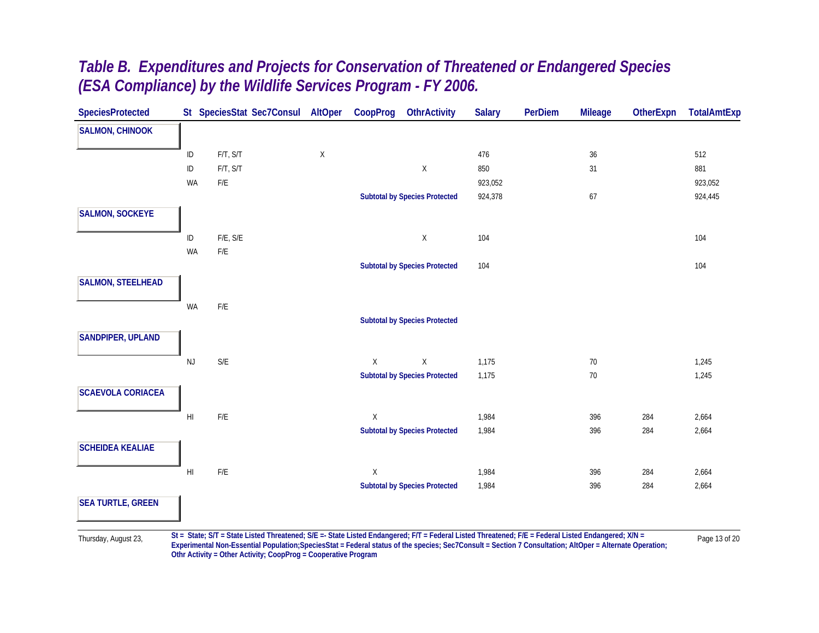| <b>SpeciesProtected</b>  |                        |                         | St SpeciesStat Sec7Consul | <b>AltOper</b> | CoopProg    | <b>OthrActivity</b>                                                                                                                               | <b>Salary</b> | <b>PerDiem</b> | <b>Mileage</b> | <b>OtherExpn</b> | <b>TotalAmtExp</b> |
|--------------------------|------------------------|-------------------------|---------------------------|----------------|-------------|---------------------------------------------------------------------------------------------------------------------------------------------------|---------------|----------------|----------------|------------------|--------------------|
| <b>SALMON, CHINOOK</b>   |                        |                         |                           |                |             |                                                                                                                                                   |               |                |                |                  |                    |
|                          | ID                     | F/T, S/T                |                           | $\mathsf X$    |             |                                                                                                                                                   | 476           |                | 36             |                  | 512                |
|                          | $\sf ID$               | F/T, S/T                |                           |                |             | $\mathsf X$                                                                                                                                       | 850           |                | 31             |                  | 881                |
|                          | WA                     | $\mathsf{F}/\mathsf{E}$ |                           |                |             |                                                                                                                                                   | 923,052       |                |                |                  | 923,052            |
|                          |                        |                         |                           |                |             | <b>Subtotal by Species Protected</b>                                                                                                              | 924,378       |                | 67             |                  | 924,445            |
| <b>SALMON, SOCKEYE</b>   |                        |                         |                           |                |             |                                                                                                                                                   |               |                |                |                  |                    |
|                          | $\sf ID$               | $F/E$ , $S/E$           |                           |                |             | $\mathsf X$                                                                                                                                       | 104           |                |                |                  | 104                |
|                          | WA                     | $\mathsf{F}/\mathsf{E}$ |                           |                |             |                                                                                                                                                   |               |                |                |                  |                    |
|                          |                        |                         |                           |                |             | <b>Subtotal by Species Protected</b>                                                                                                              | 104           |                |                |                  | 104                |
| <b>SALMON, STEELHEAD</b> |                        |                         |                           |                |             |                                                                                                                                                   |               |                |                |                  |                    |
|                          | WA                     | $\mathsf{F}/\mathsf{E}$ |                           |                |             |                                                                                                                                                   |               |                |                |                  |                    |
|                          |                        |                         |                           |                |             | <b>Subtotal by Species Protected</b>                                                                                                              |               |                |                |                  |                    |
| SANDPIPER, UPLAND        |                        |                         |                           |                |             |                                                                                                                                                   |               |                |                |                  |                    |
|                          |                        |                         |                           |                |             |                                                                                                                                                   |               |                |                |                  |                    |
|                          | <b>NJ</b>              | $\mathsf{S}/\mathsf{E}$ |                           |                | $\mathsf X$ | $\mathsf X$                                                                                                                                       | 1,175         |                | $70\,$         |                  | 1,245              |
|                          |                        |                         |                           |                |             | <b>Subtotal by Species Protected</b>                                                                                                              | 1,175         |                | $70\,$         |                  | 1,245              |
| <b>SCAEVOLA CORIACEA</b> |                        |                         |                           |                |             |                                                                                                                                                   |               |                |                |                  |                    |
|                          | H                      | $\mathsf{F}/\mathsf{E}$ |                           |                | $\mathsf X$ |                                                                                                                                                   | 1,984         |                | 396            | 284              | 2,664              |
|                          |                        |                         |                           |                |             | <b>Subtotal by Species Protected</b>                                                                                                              | 1,984         |                | 396            | 284              | 2,664              |
| <b>SCHEIDEA KEALIAE</b>  |                        |                         |                           |                |             |                                                                                                                                                   |               |                |                |                  |                    |
|                          | $\mathsf{H}\mathsf{I}$ | $\mathsf{F}/\mathsf{E}$ |                           |                | $\mathsf X$ |                                                                                                                                                   | 1,984         |                | 396            | 284              | 2,664              |
|                          |                        |                         |                           |                |             | <b>Subtotal by Species Protected</b>                                                                                                              | 1,984         |                | 396            | 284              | 2,664              |
| <b>SEA TURTLE, GREEN</b> |                        |                         |                           |                |             |                                                                                                                                                   |               |                |                |                  |                    |
|                          |                        |                         |                           |                |             |                                                                                                                                                   |               |                |                |                  |                    |
|                          |                        |                         |                           |                |             | St - State: SIT - State Listed Threatened: SIE - State Listed Endangered: EIT - Eederal Listed Threatened: EIE - Eederal Listed Endangered: YIN - |               |                |                |                  |                    |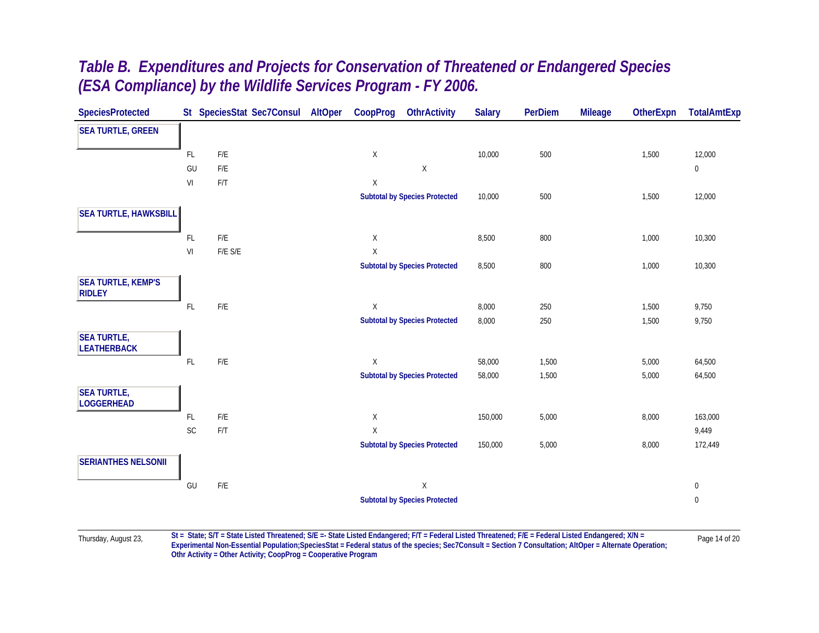| <b>SpeciesProtected</b>                    |                |                         | St SpeciesStat Sec7Consul | AltOper | CoopProg | <b>OthrActivity</b>                  | <b>Salary</b> | <b>PerDiem</b> | <b>Mileage</b> | <b>OtherExpn</b> | <b>TotalAmtExp</b> |
|--------------------------------------------|----------------|-------------------------|---------------------------|---------|----------|--------------------------------------|---------------|----------------|----------------|------------------|--------------------|
| <b>SEA TURTLE, GREEN</b>                   |                |                         |                           |         |          |                                      |               |                |                |                  |                    |
|                                            | FL.            | $\mathsf{F}/\mathsf{E}$ |                           |         | Χ        |                                      | 10,000        | 500            |                | 1,500            | 12,000             |
|                                            | GU             | F/E                     |                           |         |          | $\mathsf X$                          |               |                |                |                  | $\mathbf 0$        |
|                                            | VI             | F/T                     |                           |         | Χ        |                                      |               |                |                |                  |                    |
|                                            |                |                         |                           |         |          | <b>Subtotal by Species Protected</b> | 10,000        | 500            |                | 1,500            | 12,000             |
| <b>SEA TURTLE, HAWKSBILL</b>               |                |                         |                           |         |          |                                      |               |                |                |                  |                    |
|                                            | FL.            | $\mathsf{F}/\mathsf{E}$ |                           |         | Χ        |                                      | 8,500         | 800            |                | 1,000            | 10,300             |
|                                            | VI             | F/E S/E                 |                           |         | Χ        |                                      |               |                |                |                  |                    |
|                                            |                |                         |                           |         |          | <b>Subtotal by Species Protected</b> | 8,500         | 800            |                | 1,000            | 10,300             |
| <b>SEA TURTLE, KEMP'S</b><br><b>RIDLEY</b> |                |                         |                           |         |          |                                      |               |                |                |                  |                    |
|                                            | $\mathsf{FL}$  | $\mathsf{F}/\mathsf{E}$ |                           |         | X        |                                      | 8,000         | 250            |                | 1,500            | 9,750              |
|                                            |                |                         |                           |         |          | <b>Subtotal by Species Protected</b> | 8,000         | 250            |                | 1,500            | 9,750              |
| <b>SEA TURTLE,</b><br><b>LEATHERBACK</b>   |                |                         |                           |         |          |                                      |               |                |                |                  |                    |
|                                            | $\mathsf{FL}$  | $\mathsf{F}/\mathsf{E}$ |                           |         | X        |                                      | 58,000        | 1,500          |                | 5,000            | 64,500             |
|                                            |                |                         |                           |         |          | <b>Subtotal by Species Protected</b> | 58,000        | 1,500          |                | 5,000            | 64,500             |
| <b>SEA TURTLE,</b><br><b>LOGGERHEAD</b>    |                |                         |                           |         |          |                                      |               |                |                |                  |                    |
|                                            | FL.            | $\mathsf{F}/\mathsf{E}$ |                           |         | Χ        |                                      | 150,000       | 5,000          |                | 8,000            | 163,000            |
|                                            | $\mathsf{SC}$  | F/T                     |                           |         | Χ        |                                      |               |                |                |                  | 9,449              |
|                                            |                |                         |                           |         |          | <b>Subtotal by Species Protected</b> | 150,000       | 5,000          |                | 8,000            | 172,449            |
| <b>SERIANTHES NELSONII</b>                 |                |                         |                           |         |          |                                      |               |                |                |                  |                    |
|                                            | $\mathsf{GU}%$ | $\mathsf{F}/\mathsf{E}$ |                           |         |          | $\mathsf X$                          |               |                |                |                  | $\boldsymbol{0}$   |
|                                            |                |                         |                           |         |          | <b>Subtotal by Species Protected</b> |               |                |                |                  | $\bf{0}$           |
|                                            |                |                         |                           |         |          |                                      |               |                |                |                  |                    |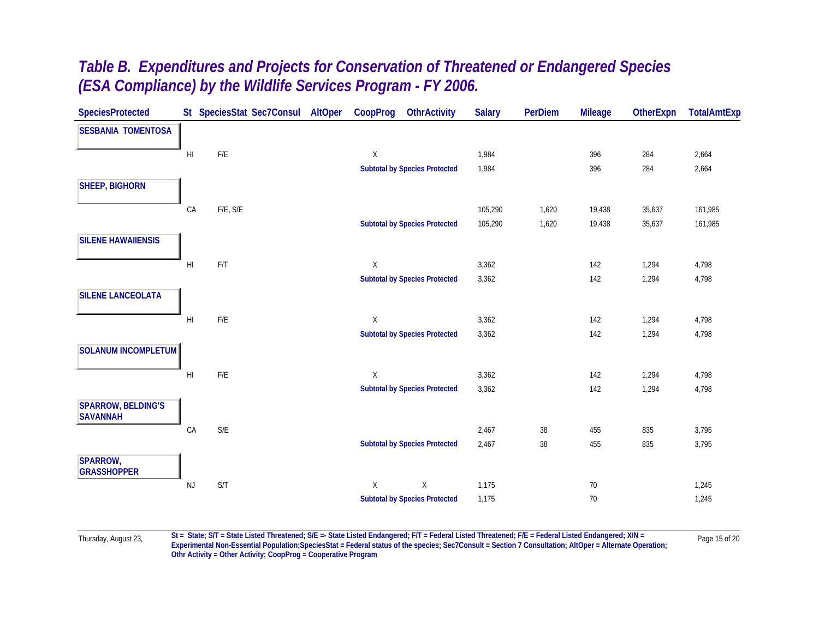| <b>SpeciesProtected</b>                      |                        |          | St SpeciesStat Sec7Consul | AltOper | CoopProg     | <b>OthrActivity</b>                  | <b>Salary</b> | PerDiem | <b>Mileage</b> | <b>OtherExpn</b> | <b>TotalAmtExp</b> |
|----------------------------------------------|------------------------|----------|---------------------------|---------|--------------|--------------------------------------|---------------|---------|----------------|------------------|--------------------|
| <b>SESBANIA TOMENTOSA</b>                    |                        |          |                           |         |              |                                      |               |         |                |                  |                    |
|                                              | H <sub>l</sub>         | F/E      |                           |         | X            |                                      | 1,984         |         | 396            | 284              | 2,664              |
|                                              |                        |          |                           |         |              | <b>Subtotal by Species Protected</b> | 1,984         |         | 396            | 284              | 2,664              |
| <b>SHEEP, BIGHORN</b>                        |                        |          |                           |         |              |                                      |               |         |                |                  |                    |
|                                              | CA                     | F/E, S/E |                           |         |              |                                      | 105,290       | 1,620   | 19,438         | 35,637           | 161,985            |
|                                              |                        |          |                           |         |              | <b>Subtotal by Species Protected</b> | 105,290       | 1,620   | 19,438         | 35,637           | 161,985            |
| <b>SILENE HAWAIIENSIS</b>                    |                        |          |                           |         |              |                                      |               |         |                |                  |                    |
|                                              | $\mathsf{H}\mathsf{I}$ | F/T      |                           |         | X            |                                      | 3,362         |         | 142            | 1,294            | 4,798              |
|                                              |                        |          |                           |         |              | <b>Subtotal by Species Protected</b> | 3,362         |         | 142            | 1,294            | 4,798              |
| <b>SILENE LANCEOLATA</b>                     |                        |          |                           |         |              |                                      |               |         |                |                  |                    |
|                                              | H <sub>l</sub>         | F/E      |                           |         | X            |                                      | 3,362         |         | 142            | 1,294            | 4,798              |
|                                              |                        |          |                           |         |              | <b>Subtotal by Species Protected</b> | 3,362         |         | 142            | 1,294            | 4,798              |
| <b>SOLANUM INCOMPLETUM</b>                   |                        |          |                           |         |              |                                      |               |         |                |                  |                    |
|                                              | H <sub>l</sub>         | $F/E$    |                           |         | X            |                                      | 3,362         |         | 142            | 1,294            | 4,798              |
|                                              |                        |          |                           |         |              | <b>Subtotal by Species Protected</b> | 3,362         |         | 142            | 1,294            | 4,798              |
| <b>SPARROW, BELDING'S</b><br><b>SAVANNAH</b> |                        |          |                           |         |              |                                      |               |         |                |                  |                    |
|                                              | ${\sf CA}$             | $S/E$    |                           |         |              |                                      | 2,467         | 38      | 455            | 835              | 3,795              |
|                                              |                        |          |                           |         |              | <b>Subtotal by Species Protected</b> | 2,467         | 38      | 455            | 835              | 3,795              |
| SPARROW,<br><b>GRASSHOPPER</b>               |                        |          |                           |         |              |                                      |               |         |                |                  |                    |
|                                              | <b>NJ</b>              | S/T      |                           |         | $\mathsf{X}$ | $\mathsf X$                          | 1,175         |         | $70\,$         |                  | 1,245              |
|                                              |                        |          |                           |         |              | <b>Subtotal by Species Protected</b> | 1,175         |         | 70             |                  | 1,245              |
|                                              |                        |          |                           |         |              |                                      |               |         |                |                  |                    |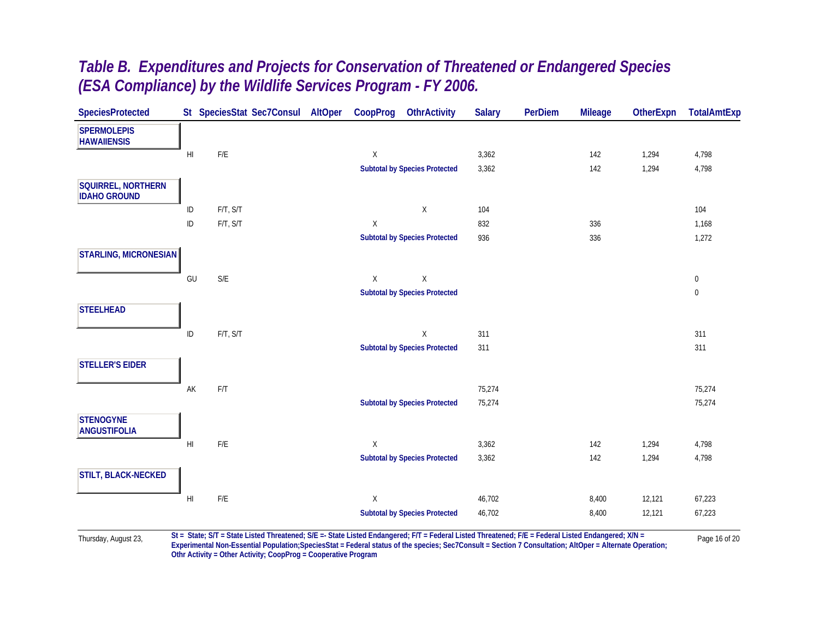| <b>SpeciesProtected</b>                          |                        |                         | St SpeciesStat Sec7Consul AltOper | CoopProg    | <b>OthrActivity</b>                  | <b>Salary</b> | <b>PerDiem</b> | <b>Mileage</b> | <b>OtherExpn</b> | <b>TotalAmtExp</b> |
|--------------------------------------------------|------------------------|-------------------------|-----------------------------------|-------------|--------------------------------------|---------------|----------------|----------------|------------------|--------------------|
| <b>SPERMOLEPIS</b><br><b>HAWAIIENSIS</b>         |                        |                         |                                   |             |                                      |               |                |                |                  |                    |
|                                                  | H <sub>l</sub>         | ${\sf F/E}$             |                                   | X           |                                      | 3,362         |                | 142            | 1,294            | 4,798              |
|                                                  |                        |                         |                                   |             | <b>Subtotal by Species Protected</b> | 3,362         |                | 142            | 1,294            | 4,798              |
| <b>SQUIRREL, NORTHERN</b><br><b>IDAHO GROUND</b> |                        |                         |                                   |             |                                      |               |                |                |                  |                    |
|                                                  | ID                     | F/T, S/T                |                                   |             | X                                    | 104           |                |                |                  | 104                |
|                                                  | $\sf ID$               | F/T, S/T                |                                   | $\mathsf X$ |                                      | 832           |                | 336            |                  | 1,168              |
|                                                  |                        |                         |                                   |             | <b>Subtotal by Species Protected</b> | 936           |                | 336            |                  | 1,272              |
| <b>STARLING, MICRONESIAN</b>                     |                        |                         |                                   |             |                                      |               |                |                |                  |                    |
|                                                  | GU                     | $S/E$                   |                                   | X           | $\mathsf X$                          |               |                |                |                  | $\overline{0}$     |
|                                                  |                        |                         |                                   |             | <b>Subtotal by Species Protected</b> |               |                |                |                  | $\boldsymbol{0}$   |
| <b>STEELHEAD</b>                                 |                        |                         |                                   |             |                                      |               |                |                |                  |                    |
|                                                  | $\sf ID$               | F/T, S/T                |                                   |             | $\mathsf X$                          | 311           |                |                |                  | 311                |
|                                                  |                        |                         |                                   |             | <b>Subtotal by Species Protected</b> | 311           |                |                |                  | 311                |
| <b>STELLER'S EIDER</b>                           |                        |                         |                                   |             |                                      |               |                |                |                  |                    |
|                                                  | AK                     | F/T                     |                                   |             |                                      | 75,274        |                |                |                  | 75,274             |
|                                                  |                        |                         |                                   |             | <b>Subtotal by Species Protected</b> | 75,274        |                |                |                  | 75,274             |
| <b>STENOGYNE</b><br><b>ANGUSTIFOLIA</b>          |                        |                         |                                   |             |                                      |               |                |                |                  |                    |
|                                                  | $\mathsf{H}\mathsf{I}$ | $\mathsf{F}/\mathsf{E}$ |                                   | X           |                                      | 3,362         |                | 142            | 1,294            | 4,798              |
|                                                  |                        |                         |                                   |             | <b>Subtotal by Species Protected</b> | 3,362         |                | 142            | 1,294            | 4,798              |
| STILT, BLACK-NECKED                              |                        |                         |                                   |             |                                      |               |                |                |                  |                    |
|                                                  | H <sub>l</sub>         | $\mathsf{F}/\mathsf{E}$ |                                   | X           |                                      | 46,702        |                | 8,400          | 12,121           | 67,223             |
|                                                  |                        |                         |                                   |             | <b>Subtotal by Species Protected</b> | 46,702        |                | 8,400          | 12,121           | 67,223             |
|                                                  |                        |                         |                                   |             |                                      |               |                |                |                  |                    |

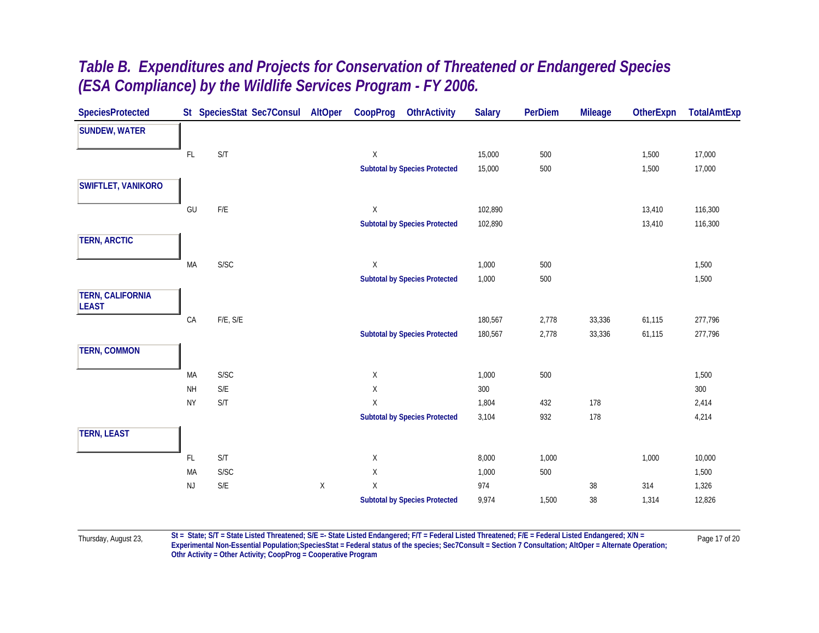| <b>SpeciesProtected</b>                 |               | St SpeciesStat Sec7Consul | AltOper     | CoopProg    | <b>OthrActivity</b>                  | <b>Salary</b> | <b>PerDiem</b> | <b>Mileage</b> | <b>OtherExpn</b> | <b>TotalAmtExp</b> |
|-----------------------------------------|---------------|---------------------------|-------------|-------------|--------------------------------------|---------------|----------------|----------------|------------------|--------------------|
| <b>SUNDEW, WATER</b>                    |               |                           |             |             |                                      |               |                |                |                  |                    |
|                                         | $\mathsf{FL}$ | S/T                       |             | $\mathsf X$ |                                      | 15,000        | 500            |                | 1,500            | 17,000             |
|                                         |               |                           |             |             | <b>Subtotal by Species Protected</b> | 15,000        | 500            |                | 1,500            | 17,000             |
| <b>SWIFTLET, VANIKORO</b>               |               |                           |             |             |                                      |               |                |                |                  |                    |
|                                         | GU            | $\mathsf{F}/\mathsf{E}$   |             | X           |                                      | 102,890       |                |                | 13,410           | 116,300            |
|                                         |               |                           |             |             | <b>Subtotal by Species Protected</b> | 102,890       |                |                | 13,410           | 116,300            |
| <b>TERN, ARCTIC</b>                     |               |                           |             |             |                                      |               |                |                |                  |                    |
|                                         | MA            | S/SC                      |             | X           |                                      | 1,000         | 500            |                |                  | 1,500              |
|                                         |               |                           |             |             | <b>Subtotal by Species Protected</b> | 1,000         | 500            |                |                  | 1,500              |
| <b>TERN, CALIFORNIA</b><br><b>LEAST</b> |               |                           |             |             |                                      |               |                |                |                  |                    |
|                                         | CA            | F/E, S/E                  |             |             |                                      | 180,567       | 2,778          | 33,336         | 61,115           | 277,796            |
|                                         |               |                           |             |             | <b>Subtotal by Species Protected</b> | 180,567       | 2,778          | 33,336         | 61,115           | 277,796            |
| <b>TERN, COMMON</b>                     |               |                           |             |             |                                      |               |                |                |                  |                    |
|                                         | MA            | S/SC                      |             | X           |                                      | 1,000         | $500\,$        |                |                  | 1,500              |
|                                         | <b>NH</b>     | $\mathsf{S}/\mathsf{E}$   |             | $\mathsf X$ |                                      | $300\,$       |                |                |                  | 300                |
|                                         | <b>NY</b>     | S/T                       |             | X           |                                      | 1,804         | 432            | 178            |                  | 2,414              |
|                                         |               |                           |             |             | <b>Subtotal by Species Protected</b> | 3,104         | 932            | 178            |                  | 4,214              |
| <b>TERN, LEAST</b>                      |               |                           |             |             |                                      |               |                |                |                  |                    |
|                                         | FL.           | S/T                       |             | X           |                                      | 8,000         | 1,000          |                | 1,000            | 10,000             |
|                                         | MA            | <b>S/SC</b>               |             | $\mathsf X$ |                                      | 1,000         | 500            |                |                  | 1,500              |
|                                         | NJ            | $\mathsf{S}/\mathsf{E}$   | $\mathsf X$ | $\mathsf X$ |                                      | 974           |                | $38\,$         | 314              | 1,326              |
|                                         |               |                           |             |             | <b>Subtotal by Species Protected</b> | 9,974         | 1,500          | $38\,$         | 1,314            | 12,826             |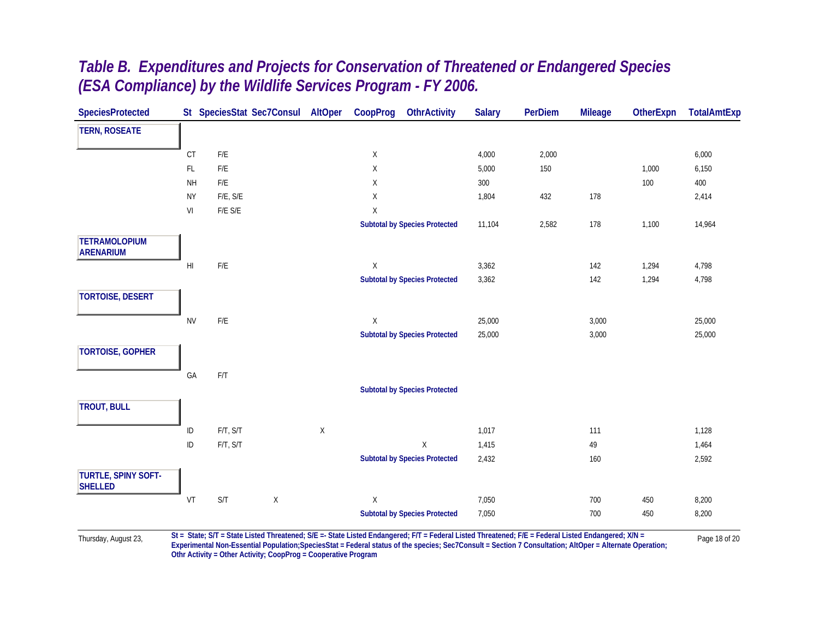| <b>SpeciesProtected</b>                  |                        | St SpeciesStat Sec7Consul                                                                                                                                            |   | AltOper     | CoopProg    | <b>OthrActivity</b>                  | <b>Salary</b> | <b>PerDiem</b> | <b>Mileage</b> | <b>OtherExpn</b> | <b>TotalAmtExp</b> |
|------------------------------------------|------------------------|----------------------------------------------------------------------------------------------------------------------------------------------------------------------|---|-------------|-------------|--------------------------------------|---------------|----------------|----------------|------------------|--------------------|
| <b>TERN, ROSEATE</b>                     |                        |                                                                                                                                                                      |   |             |             |                                      |               |                |                |                  |                    |
|                                          | $\mathsf{C}\mathsf{T}$ | $\mathsf{F}/\mathsf{E}$                                                                                                                                              |   |             | X           |                                      | 4,000         | 2,000          |                |                  | 6,000              |
|                                          | $\mathsf{FL}$          | $\mathsf{F}/\mathsf{E}$                                                                                                                                              |   |             | Χ           |                                      | 5,000         | 150            |                | 1,000            | 6,150              |
|                                          | $\mathsf{NH}\,$        | $\mathsf{F}/\mathsf{E}$                                                                                                                                              |   |             | $\mathsf X$ |                                      | 300           |                |                | 100              | 400                |
|                                          | <b>NY</b>              | $F/E, S/E$                                                                                                                                                           |   |             | X           |                                      | 1,804         | 432            | 178            |                  | 2,414              |
|                                          | VI                     | $F/E$ $S/E$                                                                                                                                                          |   |             | $\mathsf X$ |                                      |               |                |                |                  |                    |
|                                          |                        |                                                                                                                                                                      |   |             |             | <b>Subtotal by Species Protected</b> | 11,104        | 2,582          | 178            | 1,100            | 14,964             |
| <b>TETRAMOLOPIUM</b><br><b>ARENARIUM</b> |                        |                                                                                                                                                                      |   |             |             |                                      |               |                |                |                  |                    |
|                                          | HI                     | $\mathsf{F}/\mathsf{E}$                                                                                                                                              |   |             | $\mathsf X$ |                                      | 3,362         |                | 142            | 1,294            | 4,798              |
|                                          |                        |                                                                                                                                                                      |   |             |             | <b>Subtotal by Species Protected</b> | 3,362         |                | 142            | 1,294            | 4,798              |
| <b>TORTOISE, DESERT</b>                  |                        |                                                                                                                                                                      |   |             |             |                                      |               |                |                |                  |                    |
|                                          | <b>NV</b>              | $\mathsf{F}/\mathsf{E}$                                                                                                                                              |   |             | X           |                                      | 25,000        |                | 3,000          |                  | 25,000             |
|                                          |                        |                                                                                                                                                                      |   |             |             | <b>Subtotal by Species Protected</b> | 25,000        |                | 3,000          |                  | 25,000             |
| <b>TORTOISE, GOPHER</b>                  |                        |                                                                                                                                                                      |   |             |             |                                      |               |                |                |                  |                    |
|                                          |                        |                                                                                                                                                                      |   |             |             |                                      |               |                |                |                  |                    |
|                                          | GA                     | F/T                                                                                                                                                                  |   |             |             |                                      |               |                |                |                  |                    |
|                                          |                        |                                                                                                                                                                      |   |             |             | <b>Subtotal by Species Protected</b> |               |                |                |                  |                    |
| <b>TROUT, BULL</b>                       |                        |                                                                                                                                                                      |   |             |             |                                      |               |                |                |                  |                    |
|                                          | ID                     | F/T, S/T                                                                                                                                                             |   | $\mathsf X$ |             |                                      | 1,017         |                | 111            |                  | 1,128              |
|                                          | ID                     | F/T, S/T                                                                                                                                                             |   |             |             | $\mathsf X$                          | 1,415         |                | 49             |                  | 1,464              |
|                                          |                        |                                                                                                                                                                      |   |             |             | <b>Subtotal by Species Protected</b> | 2,432         |                | 160            |                  | 2,592              |
| TURTLE, SPINY SOFT-<br><b>SHELLED</b>    |                        |                                                                                                                                                                      |   |             |             |                                      |               |                |                |                  |                    |
|                                          | VT                     | $\mathsf{S}/\mathsf{T}$                                                                                                                                              | X |             | X           |                                      | 7,050         |                | 700            | 450              | 8,200              |
|                                          |                        |                                                                                                                                                                      |   |             |             | <b>Subtotal by Species Protected</b> | 7,050         |                | 700            | 450              | 8,200              |
|                                          |                        | $St_{-}$ State: $ST_{-}$ State Listed Threatened: $S/E_{-}$ State Listed Endangered: $E/T_{-}$ Eederal Listed Threatened: $E/E_{-}$ Eederal Listed Endangered: $V/k$ |   |             |             |                                      |               |                |                |                  |                    |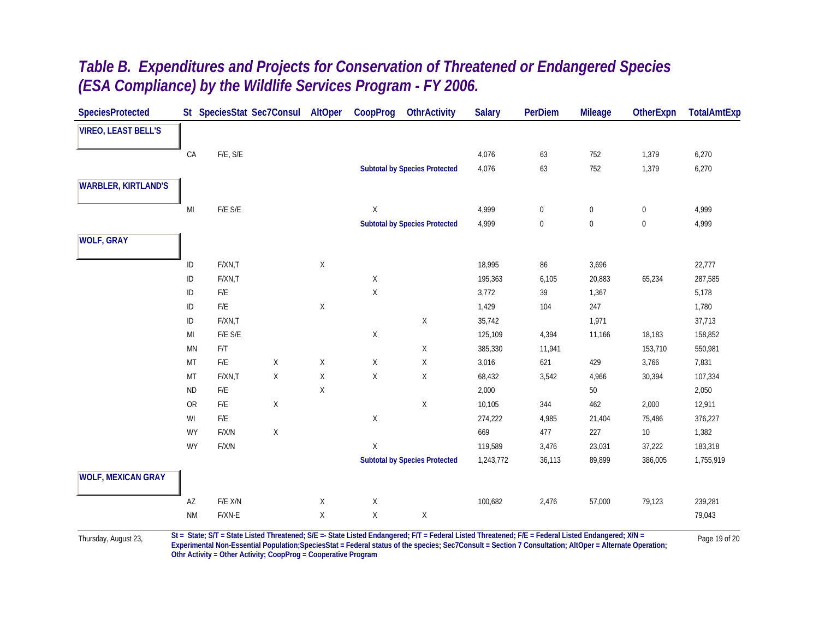|  |                                                              |  | Table B. Expenditures and Projects for Conservation of Threatened or Endangered Species |
|--|--------------------------------------------------------------|--|-----------------------------------------------------------------------------------------|
|  | (ESA Compliance) by the Wildlife Services Program - FY 2006. |  |                                                                                         |

| <b>SpeciesProtected</b>    |                        |          | St SpeciesStat Sec7Consul | AltOper     | CoopProg     | <b>OthrActivity</b>                  | <b>Salary</b> | <b>PerDiem</b> | <b>Mileage</b>   | <b>OtherExpn</b> | <b>TotalAmtExp</b> |
|----------------------------|------------------------|----------|---------------------------|-------------|--------------|--------------------------------------|---------------|----------------|------------------|------------------|--------------------|
| <b>VIREO, LEAST BELL'S</b> |                        |          |                           |             |              |                                      |               |                |                  |                  |                    |
|                            | CA                     | F/E, S/E |                           |             |              |                                      | 4,076         | 63             | 752              | 1,379            | 6,270              |
|                            |                        |          |                           |             |              | <b>Subtotal by Species Protected</b> | 4,076         | 63             | 752              | 1,379            | 6,270              |
|                            |                        |          |                           |             |              |                                      |               |                |                  |                  |                    |
| <b>WARBLER, KIRTLAND'S</b> |                        |          |                           |             |              |                                      |               |                |                  |                  |                    |
|                            | $\mathsf{MI}$          | F/E S/E  |                           |             | $\mathsf X$  |                                      | 4,999         | $\mathbf 0$    | $\boldsymbol{0}$ | $\boldsymbol{0}$ | 4,999              |
|                            |                        |          |                           |             |              | <b>Subtotal by Species Protected</b> | 4,999         | $\bf{0}$       | $\boldsymbol{0}$ | $\bf{0}$         | 4,999              |
| <b>WOLF, GRAY</b>          |                        |          |                           |             |              |                                      |               |                |                  |                  |                    |
|                            | ID                     | F/XN,T   |                           | $\mathsf X$ |              |                                      | 18,995        | 86             | 3,696            |                  | 22,777             |
|                            | $\mathsf{ID}$          | F/XN,T   |                           |             | $\mathsf X$  |                                      | 195,363       | 6,105          | 20,883           | 65,234           | 287,585            |
|                            | ID                     | F/E      |                           |             | $\mathsf X$  |                                      | 3,772         | 39             | 1,367            |                  | 5,178              |
|                            | $\sf ID$               | F/E      |                           | Χ           |              |                                      | 1,429         | 104            | 247              |                  | 1,780              |
|                            | $\sf ID$               | F/XN,T   |                           |             |              | $\mathsf X$                          | 35,742        |                | 1,971            |                  | 37,713             |
|                            | MI                     | F/E S/E  |                           |             | Χ            |                                      | 125,109       | 4,394          | 11,166           | 18,183           | 158,852            |
|                            | MN                     | F/T      |                           |             |              | X                                    | 385,330       | 11,941         |                  | 153,710          | 550,981            |
|                            | MT                     | F/E      | X                         | Χ           | $\mathsf X$  | X                                    | 3,016         | 621            | 429              | 3,766            | 7,831              |
|                            | MT                     | F/XN,T   | X                         | $\mathsf X$ | $\mathsf X$  | $\mathsf X$                          | 68,432        | 3,542          | 4,966            | 30,394           | 107,334            |
|                            | <b>ND</b>              | F/E      |                           | X           |              |                                      | 2,000         |                | $50\,$           |                  | 2,050              |
|                            | <b>OR</b>              | F/E      | $\mathsf X$               |             |              | $\mathsf X$                          | 10,105        | 344            | 462              | 2,000            | 12,911             |
|                            | WI                     | F/E      |                           |             | X            |                                      | 274,222       | 4,985          | 21,404           | 75,486           | 376,227            |
|                            | WY                     | F/X/N    | $\mathsf X$               |             |              |                                      | 669           | 477            | 227              | 10               | 1,382              |
|                            | WY                     | F/X/N    |                           |             | $\mathsf{X}$ |                                      | 119,589       | 3,476          | 23,031           | 37,222           | 183,318            |
|                            |                        |          |                           |             |              | <b>Subtotal by Species Protected</b> | 1,243,772     | 36,113         | 89,899           | 386,005          | 1,755,919          |
| <b>WOLF, MEXICAN GRAY</b>  |                        |          |                           |             |              |                                      |               |                |                  |                  |                    |
|                            | $\mathsf{A}\mathsf{Z}$ | F/E X/N  |                           | Χ           | $\mathsf X$  |                                      | 100,682       | 2,476          | 57,000           | 79,123           | 239,281            |
|                            | <b>NM</b>              | F/XN-E   |                           | Χ           | X            | $\mathsf X$                          |               |                |                  |                  | 79,043             |